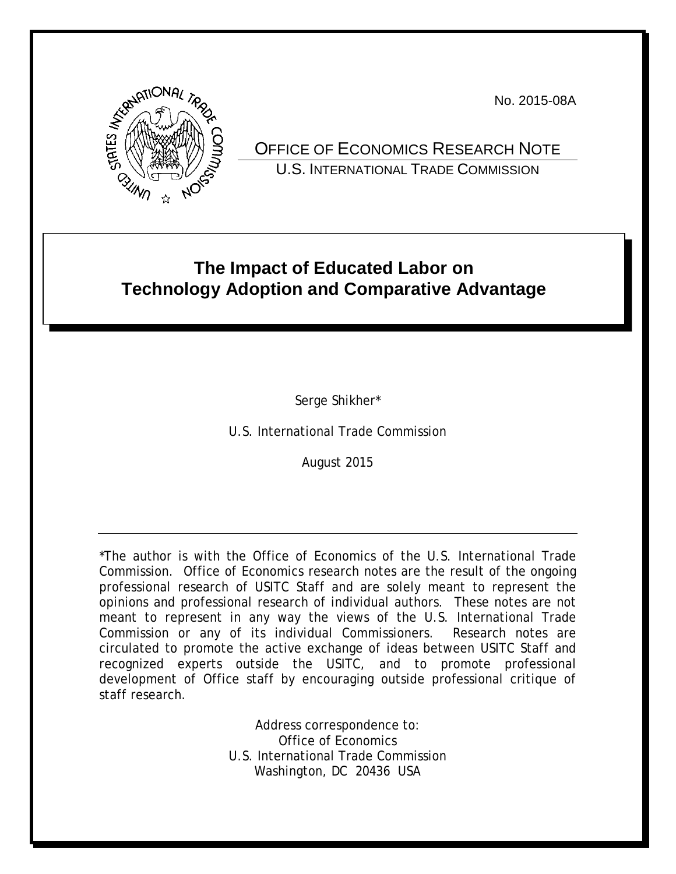No. 2015-08A



OFFICE OF ECONOMICS RESEARCH NOTE U.S. INTERNATIONAL TRADE COMMISSION

# **The Impact of Educated Labor on Technology Adoption and Comparative Advantage**

Serge Shikher\*

U.S. International Trade Commission

August 2015

\*The author is with the Office of Economics of the U.S. International Trade Commission. Office of Economics research notes are the result of the ongoing professional research of USITC Staff and are solely meant to represent the opinions and professional research of individual authors. These notes are not meant to represent in any way the views of the U.S. International Trade Commission or any of its individual Commissioners. Research notes are circulated to promote the active exchange of ideas between USITC Staff and recognized experts outside the USITC, and to promote professional development of Office staff by encouraging outside professional critique of staff research.

> Address correspondence to: Office of Economics U.S. International Trade Commission Washington, DC 20436 USA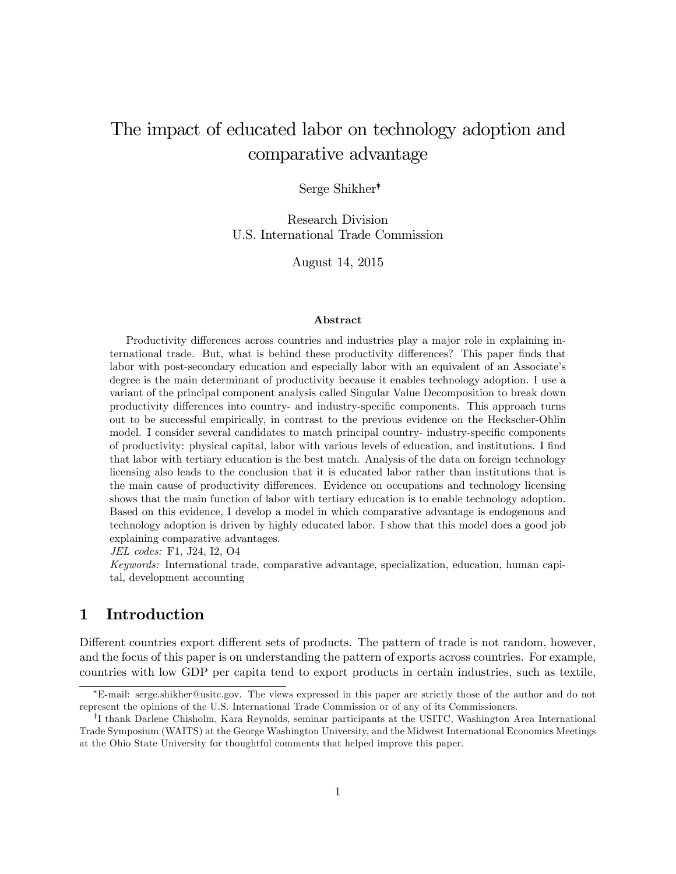# The impact of educated labor on technology adoption and comparative advantage

### Serge Shikher\*

Research Division U.S. International Trade Commission

August 14, 2015

#### Abstract

Productivity differences across countries and industries play a major role in explaining international trade. But, what is behind these productivity differences? This paper finds that labor with post-secondary education and especially labor with an equivalent of an Associate's degree is the main determinant of productivity because it enables technology adoption. I use a variant of the principal component analysis called Singular Value Decomposition to break down productivity differences into country- and industry-specific components. This approach turns out to be successful empirically, in contrast to the previous evidence on the Heckscher-Ohlin model. I consider several candidates to match principal country- industry-specific components of productivity: physical capital, labor with various levels of education, and institutions. I find that labor with tertiary education is the best match. Analysis of the data on foreign technology licensing also leads to the conclusion that it is educated labor rather than institutions that is the main cause of productivity differences. Evidence on occupations and technology licensing shows that the main function of labor with tertiary education is to enable technology adoption. Based on this evidence, I develop a model in which comparative advantage is endogenous and technology adoption is driven by highly educated labor. I show that this model does a good job explaining comparative advantages.

JEL codes: F1, J24, I2, O4

Keywords: International trade, comparative advantage, specialization, education, human capital, development accounting

# 1 Introduction

Different countries export different sets of products. The pattern of trade is not random, however, and the focus of this paper is on understanding the pattern of exports across countries. For example, countries with low GDP per capita tend to export products in certain industries, such as textile,

E-mail: serge.shikher@usitc.gov. The views expressed in this paper are strictly those of the author and do not represent the opinions of the U.S. International Trade Commission or of any of its Commissioners.

<sup>&</sup>lt;sup>†</sup>I thank Darlene Chisholm, Kara Reynolds, seminar participants at the USITC, Washington Area International Trade Symposium (WAITS) at the George Washington University, and the Midwest International Economics Meetings at the Ohio State University for thoughtful comments that helped improve this paper.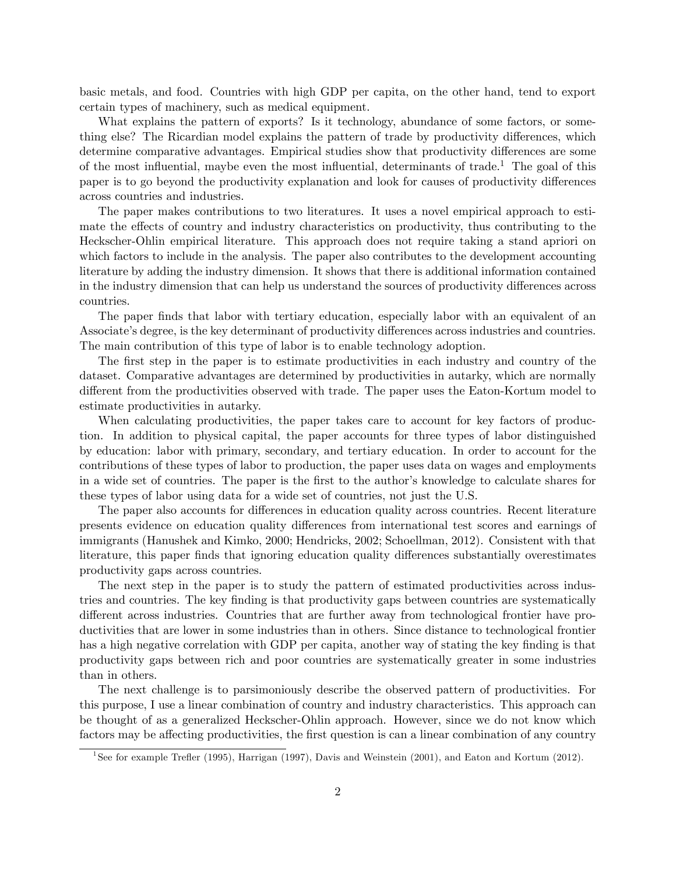basic metals, and food. Countries with high GDP per capita, on the other hand, tend to export certain types of machinery, such as medical equipment.

What explains the pattern of exports? Is it technology, abundance of some factors, or something else? The Ricardian model explains the pattern of trade by productivity differences, which determine comparative advantages. Empirical studies show that productivity differences are some of the most influential, maybe even the most influential, determinants of trade.<sup>1</sup> The goal of this paper is to go beyond the productivity explanation and look for causes of productivity differences across countries and industries.

The paper makes contributions to two literatures. It uses a novel empirical approach to estimate the effects of country and industry characteristics on productivity, thus contributing to the Heckscher-Ohlin empirical literature. This approach does not require taking a stand apriori on which factors to include in the analysis. The paper also contributes to the development accounting literature by adding the industry dimension. It shows that there is additional information contained in the industry dimension that can help us understand the sources of productivity differences across countries.

The paper finds that labor with tertiary education, especially labor with an equivalent of an Associate's degree, is the key determinant of productivity differences across industries and countries. The main contribution of this type of labor is to enable technology adoption.

The first step in the paper is to estimate productivities in each industry and country of the dataset. Comparative advantages are determined by productivities in autarky, which are normally different from the productivities observed with trade. The paper uses the Eaton-Kortum model to estimate productivities in autarky.

When calculating productivities, the paper takes care to account for key factors of production. In addition to physical capital, the paper accounts for three types of labor distinguished by education: labor with primary, secondary, and tertiary education. In order to account for the contributions of these types of labor to production, the paper uses data on wages and employments in a wide set of countries. The paper is the first to the author's knowledge to calculate shares for these types of labor using data for a wide set of countries, not just the U.S.

The paper also accounts for differences in education quality across countries. Recent literature presents evidence on education quality differences from international test scores and earnings of immigrants (Hanushek and Kimko, 2000; Hendricks, 2002; Schoellman, 2012). Consistent with that literature, this paper finds that ignoring education quality differences substantially overestimates productivity gaps across countries.

The next step in the paper is to study the pattern of estimated productivities across industries and countries. The key finding is that productivity gaps between countries are systematically different across industries. Countries that are further away from technological frontier have productivities that are lower in some industries than in others. Since distance to technological frontier has a high negative correlation with GDP per capita, another way of stating the key finding is that productivity gaps between rich and poor countries are systematically greater in some industries than in others.

The next challenge is to parsimoniously describe the observed pattern of productivities. For this purpose, I use a linear combination of country and industry characteristics. This approach can be thought of as a generalized Heckscher-Ohlin approach. However, since we do not know which factors may be affecting productivities, the first question is can a linear combination of any country

<sup>&</sup>lt;sup>1</sup>See for example Trefler (1995), Harrigan (1997), Davis and Weinstein (2001), and Eaton and Kortum (2012).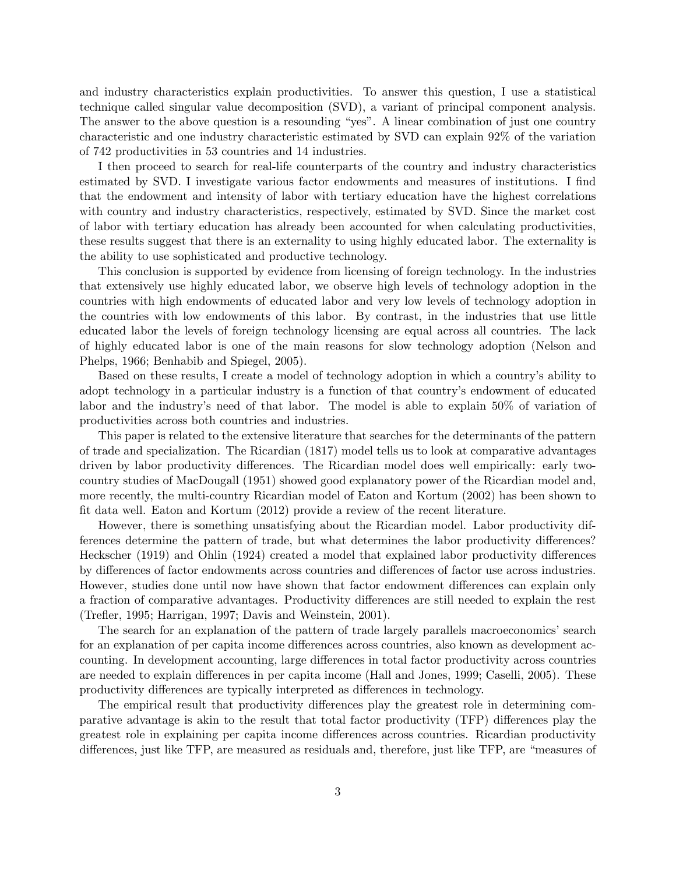and industry characteristics explain productivities. To answer this question, I use a statistical technique called singular value decomposition (SVD), a variant of principal component analysis. The answer to the above question is a resounding "yes". A linear combination of just one country characteristic and one industry characteristic estimated by SVD can explain 92% of the variation of 742 productivities in 53 countries and 14 industries.

I then proceed to search for real-life counterparts of the country and industry characteristics estimated by SVD. I investigate various factor endowments and measures of institutions. I find that the endowment and intensity of labor with tertiary education have the highest correlations with country and industry characteristics, respectively, estimated by SVD. Since the market cost of labor with tertiary education has already been accounted for when calculating productivities, these results suggest that there is an externality to using highly educated labor. The externality is the ability to use sophisticated and productive technology.

This conclusion is supported by evidence from licensing of foreign technology. In the industries that extensively use highly educated labor, we observe high levels of technology adoption in the countries with high endowments of educated labor and very low levels of technology adoption in the countries with low endowments of this labor. By contrast, in the industries that use little educated labor the levels of foreign technology licensing are equal across all countries. The lack of highly educated labor is one of the main reasons for slow technology adoption (Nelson and Phelps, 1966; Benhabib and Spiegel, 2005).

Based on these results, I create a model of technology adoption in which a country's ability to adopt technology in a particular industry is a function of that country's endowment of educated labor and the industry's need of that labor. The model is able to explain 50% of variation of productivities across both countries and industries.

This paper is related to the extensive literature that searches for the determinants of the pattern of trade and specialization. The Ricardian (1817) model tells us to look at comparative advantages driven by labor productivity differences. The Ricardian model does well empirically: early twocountry studies of MacDougall (1951) showed good explanatory power of the Ricardian model and, more recently, the multi-country Ricardian model of Eaton and Kortum (2002) has been shown to Öt data well. Eaton and Kortum (2012) provide a review of the recent literature.

However, there is something unsatisfying about the Ricardian model. Labor productivity differences determine the pattern of trade, but what determines the labor productivity differences? Heckscher (1919) and Ohlin (1924) created a model that explained labor productivity differences by differences of factor endowments across countries and differences of factor use across industries. However, studies done until now have shown that factor endowment differences can explain only a fraction of comparative advantages. Productivity differences are still needed to explain the rest (Trefler, 1995; Harrigan, 1997; Davis and Weinstein, 2001).

The search for an explanation of the pattern of trade largely parallels macroeconomics' search for an explanation of per capita income differences across countries, also known as development accounting. In development accounting, large differences in total factor productivity across countries are needed to explain differences in per capita income (Hall and Jones, 1999; Caselli, 2005). These productivity differences are typically interpreted as differences in technology.

The empirical result that productivity differences play the greatest role in determining comparative advantage is akin to the result that total factor productivity (TFP) differences play the greatest role in explaining per capita income differences across countries. Ricardian productivity differences, just like TFP, are measured as residuals and, therefore, just like TFP, are "measures of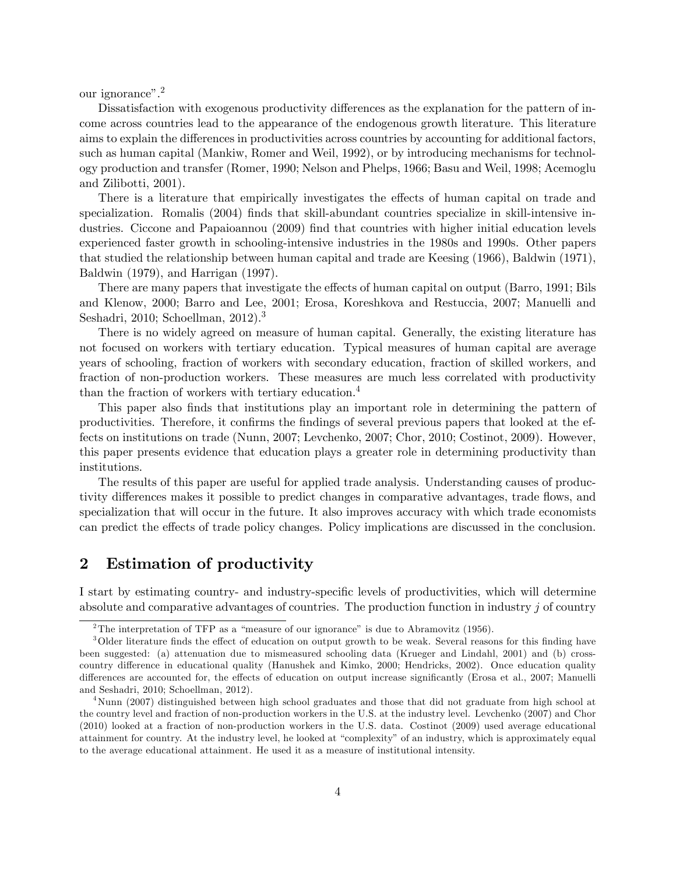our ignorance".<sup>2</sup>

Dissatisfaction with exogenous productivity differences as the explanation for the pattern of income across countries lead to the appearance of the endogenous growth literature. This literature aims to explain the differences in productivities across countries by accounting for additional factors, such as human capital (Mankiw, Romer and Weil, 1992), or by introducing mechanisms for technology production and transfer (Romer, 1990; Nelson and Phelps, 1966; Basu and Weil, 1998; Acemoglu and Zilibotti, 2001).

There is a literature that empirically investigates the effects of human capital on trade and specialization. Romalis (2004) finds that skill-abundant countries specialize in skill-intensive industries. Ciccone and Papaioannou (2009) find that countries with higher initial education levels experienced faster growth in schooling-intensive industries in the 1980s and 1990s. Other papers that studied the relationship between human capital and trade are Keesing (1966), Baldwin (1971), Baldwin (1979), and Harrigan (1997).

There are many papers that investigate the effects of human capital on output (Barro, 1991; Bils and Klenow, 2000; Barro and Lee, 2001; Erosa, Koreshkova and Restuccia, 2007; Manuelli and Seshadri, 2010; Schoellman, 2012).<sup>3</sup>

There is no widely agreed on measure of human capital. Generally, the existing literature has not focused on workers with tertiary education. Typical measures of human capital are average years of schooling, fraction of workers with secondary education, fraction of skilled workers, and fraction of non-production workers. These measures are much less correlated with productivity than the fraction of workers with tertiary education.<sup>4</sup>

This paper also finds that institutions play an important role in determining the pattern of productivities. Therefore, it confirms the findings of several previous papers that looked at the effects on institutions on trade (Nunn, 2007; Levchenko, 2007; Chor, 2010; Costinot, 2009). However, this paper presents evidence that education plays a greater role in determining productivity than institutions.

The results of this paper are useful for applied trade analysis. Understanding causes of productivity differences makes it possible to predict changes in comparative advantages, trade flows, and specialization that will occur in the future. It also improves accuracy with which trade economists can predict the effects of trade policy changes. Policy implications are discussed in the conclusion.

# 2 Estimation of productivity

I start by estimating country- and industry-specific levels of productivities, which will determine absolute and comparative advantages of countries. The production function in industry j of country

<sup>&</sup>lt;sup>2</sup>The interpretation of TFP as a "measure of our ignorance" is due to Abramovitz (1956).

<sup>&</sup>lt;sup>3</sup>Older literature finds the effect of education on output growth to be weak. Several reasons for this finding have been suggested: (a) attenuation due to mismeasured schooling data (Krueger and Lindahl, 2001) and (b) crosscountry difference in educational quality (Hanushek and Kimko, 2000; Hendricks, 2002). Once education quality differences are accounted for, the effects of education on output increase significantly (Erosa et al., 2007; Manuelli and Seshadri, 2010; Schoellman, 2012).

<sup>4</sup>Nunn (2007) distinguished between high school graduates and those that did not graduate from high school at the country level and fraction of non-production workers in the U.S. at the industry level. Levchenko (2007) and Chor (2010) looked at a fraction of non-production workers in the U.S. data. Costinot (2009) used average educational attainment for country. At the industry level, he looked at "complexity" of an industry, which is approximately equal to the average educational attainment. He used it as a measure of institutional intensity.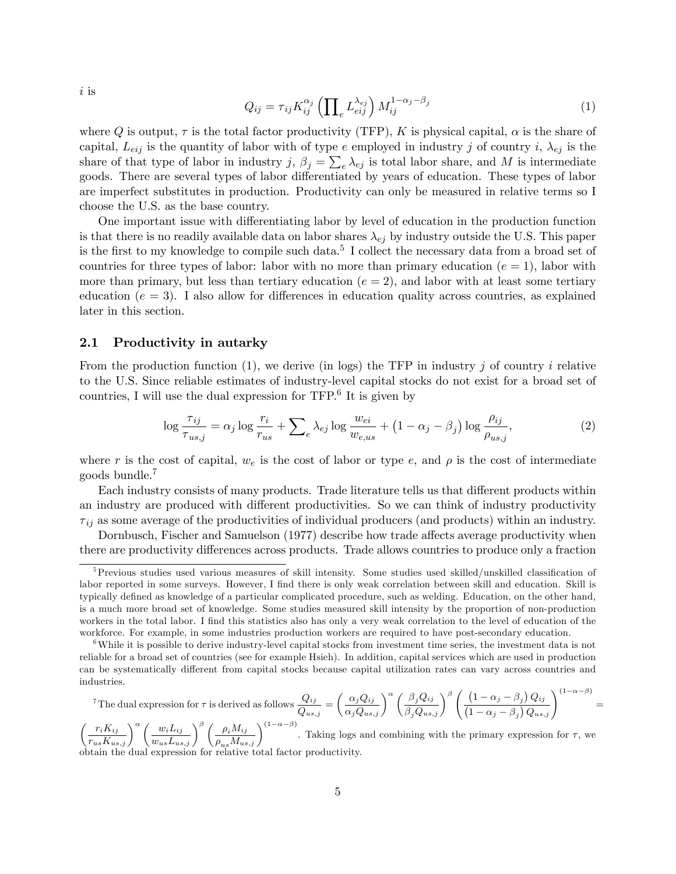i is

$$
Q_{ij} = \tau_{ij} K_{ij}^{\alpha_j} \left( \prod_e L_{eij}^{\lambda_{ej}} \right) M_{ij}^{1-\alpha_j-\beta_j}
$$
\n(1)

where Q is output,  $\tau$  is the total factor productivity (TFP), K is physical capital,  $\alpha$  is the share of capital,  $L_{eij}$  is the quantity of labor with of type e employed in industry j of country i,  $\lambda_{ej}$  is the share of that type of labor in industry  $j, \beta_j = \sum_{e} \lambda_{ej}$  is total labor share, and M is intermediate goods. There are several types of labor differentiated by years of education. These types of labor are imperfect substitutes in production. Productivity can only be measured in relative terms so I choose the U.S. as the base country.

One important issue with differentiating labor by level of education in the production function is that there is no readily available data on labor shares  $\lambda_{ej}$  by industry outside the U.S. This paper is the first to my knowledge to compile such data.<sup>5</sup> I collect the necessary data from a broad set of countries for three types of labor: labor with no more than primary education  $(e = 1)$ , labor with more than primary, but less than tertiary education  $(e = 2)$ , and labor with at least some tertiary education ( $e = 3$ ). I also allow for differences in education quality across countries, as explained later in this section.

#### 2.1 Productivity in autarky

From the production function (1), we derive (in logs) the TFP in industry j of country i relative to the U.S. Since reliable estimates of industry-level capital stocks do not exist for a broad set of countries, I will use the dual expression for TFP.<sup>6</sup> It is given by

$$
\log \frac{\tau_{ij}}{\tau_{us,j}} = \alpha_j \log \frac{r_i}{r_{us}} + \sum_{e} \lambda_{ej} \log \frac{w_{ei}}{w_{e,us}} + (1 - \alpha_j - \beta_j) \log \frac{\rho_{ij}}{\rho_{us,j}},
$$
(2)

where r is the cost of capital,  $w_e$  is the cost of labor or type e, and  $\rho$  is the cost of intermediate goods bundle.<sup>7</sup>

Each industry consists of many products. Trade literature tells us that different products within an industry are produced with different productivities. So we can think of industry productivity  $\tau_{ii}$  as some average of the productivities of individual producers (and products) within an industry.

Dornbusch, Fischer and Samuelson (1977) describe how trade affects average productivity when there are productivity differences across products. Trade allows countries to produce only a fraction

$$
{}^{7}\text{The dual expression for }\tau\text{ is derived as follows }\frac{Q_{ij}}{Q_{us,j}} = \left(\frac{\alpha_j Q_{ij}}{\alpha_j Q_{us,j}}\right)^{\alpha} \left(\frac{\beta_j Q_{ij}}{\beta_j Q_{us,j}}\right)^{\beta} \left(\frac{\left(1-\alpha_j-\beta_j\right) Q_{ij}}{\left(1-\alpha_j-\beta_j\right) Q_{us,j}}\right)^{(1-\alpha-\beta)} =
$$

 $\left(\frac{r_i K_{ij}}{r_{us} K_{us,j}}\right)^{\alpha} \left(\frac{w_i L_{ij}}{w_{us} L_{us,j}}\right)^{\beta} \left(\frac{\rho_i M_{ij}}{\rho_{us} M_{us,j}}\right)^{(1-\alpha-\beta)}$ . Taking logs and combining with the primary expression for  $\tau$ , we obtain the dual expression for relative total factor productivity.

 $5$ Previous studies used various measures of skill intensity. Some studies used skilled/unskilled classification of labor reported in some surveys. However, I find there is only weak correlation between skill and education. Skill is typically defined as knowledge of a particular complicated procedure, such as welding. Education, on the other hand, is a much more broad set of knowledge. Some studies measured skill intensity by the proportion of non-production workers in the total labor. I find this statistics also has only a very weak correlation to the level of education of the workforce. For example, in some industries production workers are required to have post-secondary education.

<sup>&</sup>lt;sup>6</sup>While it is possible to derive industry-level capital stocks from investment time series, the investment data is not reliable for a broad set of countries (see for example Hsieh). In addition, capital services which are used in production can be systematically different from capital stocks because capital utilization rates can vary across countries and industries.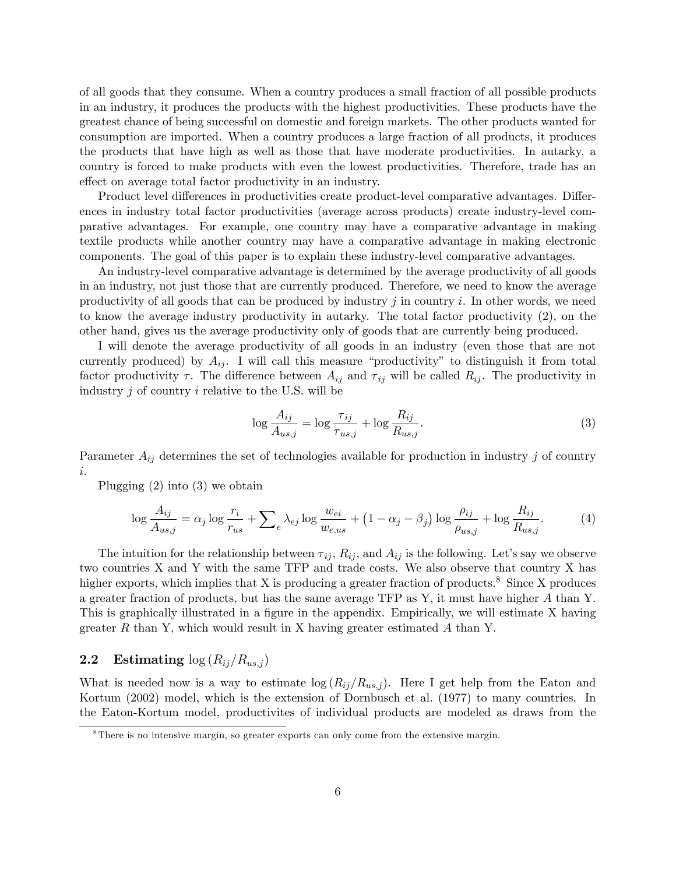of all goods that they consume. When a country produces a small fraction of all possible products in an industry, it produces the products with the highest productivities. These products have the greatest chance of being successful on domestic and foreign markets. The other products wanted for consumption are imported. When a country produces a large fraction of all products, it produces the products that have high as well as those that have moderate productivities. In autarky, a country is forced to make products with even the lowest productivities. Therefore, trade has an effect on average total factor productivity in an industry.

Product level differences in productivities create product-level comparative advantages. Differences in industry total factor productivities (average across products) create industry-level comparative advantages. For example, one country may have a comparative advantage in making textile products while another country may have a comparative advantage in making electronic components. The goal of this paper is to explain these industry-level comparative advantages.

An industry-level comparative advantage is determined by the average productivity of all goods in an industry, not just those that are currently produced. Therefore, we need to know the average productivity of all goods that can be produced by industry  $j$  in country  $i$ . In other words, we need to know the average industry productivity in autarky. The total factor productivity (2), on the other hand, gives us the average productivity only of goods that are currently being produced.

I will denote the average productivity of all goods in an industry (even those that are not currently produced) by  $A_{ij}$ . I will call this measure "productivity" to distinguish it from total factor productivity  $\tau$ . The difference between  $A_{ij}$  and  $\tau_{ij}$  will be called  $R_{ij}$ . The productivity in industry  $j$  of country  $i$  relative to the U.S. will be

$$
\log \frac{A_{ij}}{A_{us,j}} = \log \frac{\tau_{ij}}{\tau_{us,j}} + \log \frac{R_{ij}}{R_{us,j}}.
$$
\n(3)

Parameter  $A_{ij}$  determines the set of technologies available for production in industry j of country i.

Plugging (2) into (3) we obtain

$$
\log \frac{A_{ij}}{A_{us,j}} = \alpha_j \log \frac{r_i}{r_{us}} + \sum_{e} \lambda_{ej} \log \frac{w_{ei}}{w_{e,us}} + (1 - \alpha_j - \beta_j) \log \frac{\rho_{ij}}{\rho_{us,j}} + \log \frac{R_{ij}}{R_{us,j}}.
$$
 (4)

The intuition for the relationship between  $\tau_{ij}$ ,  $R_{ij}$ , and  $A_{ij}$  is the following. Let's say we observe two countries X and Y with the same TFP and trade costs. We also observe that country X has higher exports, which implies that X is producing a greater fraction of products.<sup>8</sup> Since X produces a greater fraction of products, but has the same average TFP as Y, it must have higher A than Y. This is graphically illustrated in a figure in the appendix. Empirically, we will estimate X having greater R than Y, which would result in X having greater estimated  $A$  than Y.

# **2.2** Estimating  $log(R_{ij}/R_{us,j})$

What is needed now is a way to estimate  $\log(R_{ij}/R_{us,j})$ . Here I get help from the Eaton and Kortum (2002) model, which is the extension of Dornbusch et al. (1977) to many countries. In the Eaton-Kortum model, productivites of individual products are modeled as draws from the

<sup>&</sup>lt;sup>8</sup>There is no intensive margin, so greater exports can only come from the extensive margin.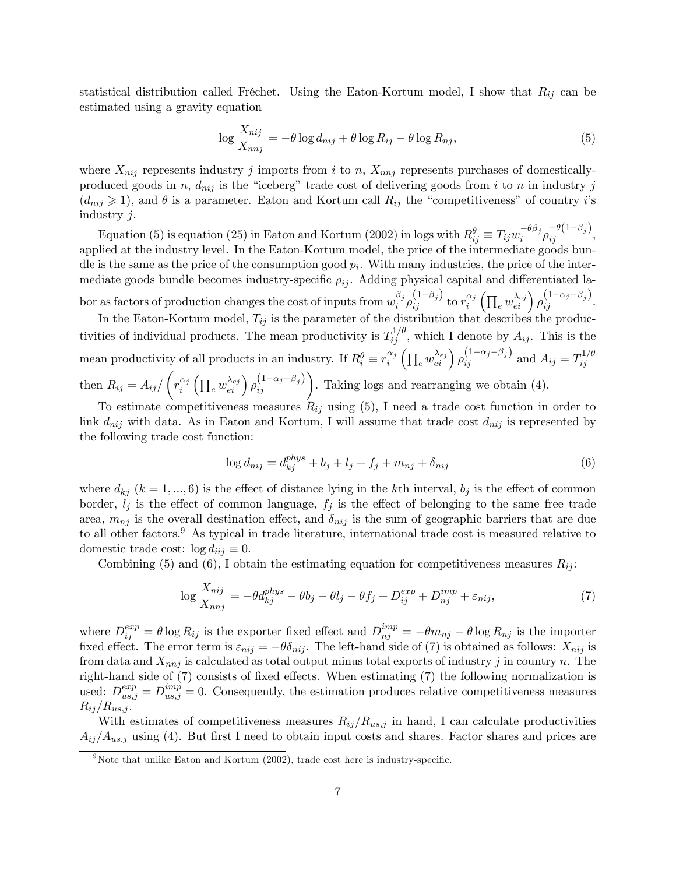statistical distribution called Fréchet. Using the Eaton-Kortum model, I show that  $R_{ij}$  can be estimated using a gravity equation

$$
\log \frac{X_{nij}}{X_{nnj}} = -\theta \log d_{nij} + \theta \log R_{ij} - \theta \log R_{nj},\tag{5}
$$

where  $X_{nij}$  represents industry j imports from i to n,  $X_{nnj}$  represents purchases of domesticallyproduced goods in n,  $d_{nij}$  is the "iceberg" trade cost of delivering goods from i to n in industry j  $(d_{nij} \geq 1)$ , and  $\theta$  is a parameter. Eaton and Kortum call  $R_{ij}$  the "competitiveness" of country i's industry j.

Equation (5) is equation (25) in Eaton and Kortum (2002) in logs with  $R_{ij}^{\theta} \equiv T_{ij} w_i^{-\theta \beta_j} \rho_{ij}^{-\theta (1-\beta_j)}$ , applied at the industry level. In the Eaton-Kortum model, the price of the intermediate goods bundle is the same as the price of the consumption good  $p_i$ . With many industries, the price of the intermediate goods bundle becomes industry-specific  $\rho_{ij}$ . Adding physical capital and differentiated labor as factors of production changes the cost of inputs from  $w_i^{\beta_j}$  $\frac{\beta_j \rho_{ij}^{\left(1-\beta_j\right)}$  to  $r_i^{\alpha_j}$  $\int\limits_i^{\alpha_j}\left(\prod_e w_{ei}^{\lambda_{ej}}\right)\rho_{ij}^{\left(1-\alpha_j-\beta_j\right)}.$ 

In the Eaton-Kortum model,  $T_{ij}$  is the parameter of the distribution that describes the productivities of individual products. The mean productivity is  $T_{ij}^{1/\theta}$ , which I denote by  $A_{ij}$ . This is the mean productivity of all products in an industry. If  $R_i^{\theta} \equiv r_i^{\alpha_j}$  $\int_{i}^{\alpha_{j}}\left(\prod_{e}w_{ei}^{\lambda_{ej}}\right)\rho_{ij}^{\left(1-\alpha_{j}-\beta_{j}\right)}\text{ and }A_{ij}=T_{ij}^{1/\theta_{ij}}$ ij  $\sqrt{2}$  $r_i^{\alpha_j}$  $\int_{i}^{\alpha_j} \left( \prod_e w_{ei}^{\lambda_{ej}} \right) \rho_{ij}^{(1-\alpha_j-\beta_j)} \right)$ . Taking logs and rearranging we obtain (4).

then  $R_{ij}=A_{ij}/$ To estimate competitiveness measures  $R_{ij}$  using (5), I need a trade cost function in order to link  $d_{nij}$  with data. As in Eaton and Kortum, I will assume that trade cost  $d_{nij}$  is represented by

$$
\log d_{nij} = d_{kj}^{phys} + b_j + l_j + f_j + m_{nj} + \delta_{nij}
$$
\n(6)

where  $d_{kj}$   $(k = 1, ..., 6)$  is the effect of distance lying in the kth interval,  $b_j$  is the effect of common border,  $l_j$  is the effect of common language,  $f_j$  is the effect of belonging to the same free trade area,  $m_{nj}$  is the overall destination effect, and  $\delta_{nij}$  is the sum of geographic barriers that are due to all other factors.<sup>9</sup> As typical in trade literature, international trade cost is measured relative to domestic trade cost:  $\log d_{iij} \equiv 0$ .

Combining (5) and (6), I obtain the estimating equation for competitiveness measures  $R_{ij}$ :

$$
\log \frac{X_{nij}}{X_{nnj}} = -\theta d_{kj}^{phys} - \theta b_j - \theta l_j - \theta f_j + D_{ij}^{exp} + D_{nj}^{imp} + \varepsilon_{nij},\tag{7}
$$

where  $D_{ij}^{exp} = \theta \log R_{ij}$  is the exporter fixed effect and  $D_{nj}^{imp} = -\theta m_{nj} - \theta \log R_{nj}$  is the importer fixed effect. The error term is  $\varepsilon_{nij} = -\theta \delta_{nij}$ . The left-hand side of (7) is obtained as follows:  $X_{nij}$  is from data and  $X_{nnj}$  is calculated as total output minus total exports of industry j in country n. The right-hand side of  $(7)$  consists of fixed effects. When estimating  $(7)$  the following normalization is used:  $D_{us,j}^{exp} = D_{us,j}^{imp} = 0$ . Consequently, the estimation produces relative competitiveness measures  $R_{ij}/R_{us,j}$ .

With estimates of competitiveness measures  $R_{ij}/R_{us,j}$  in hand, I can calculate productivities  $A_{ij}/A_{us,j}$  using (4). But first I need to obtain input costs and shares. Factor shares and prices are

the following trade cost function:

<sup>&</sup>lt;sup>9</sup>Note that unlike Eaton and Kortum  $(2002)$ , trade cost here is industry-specific.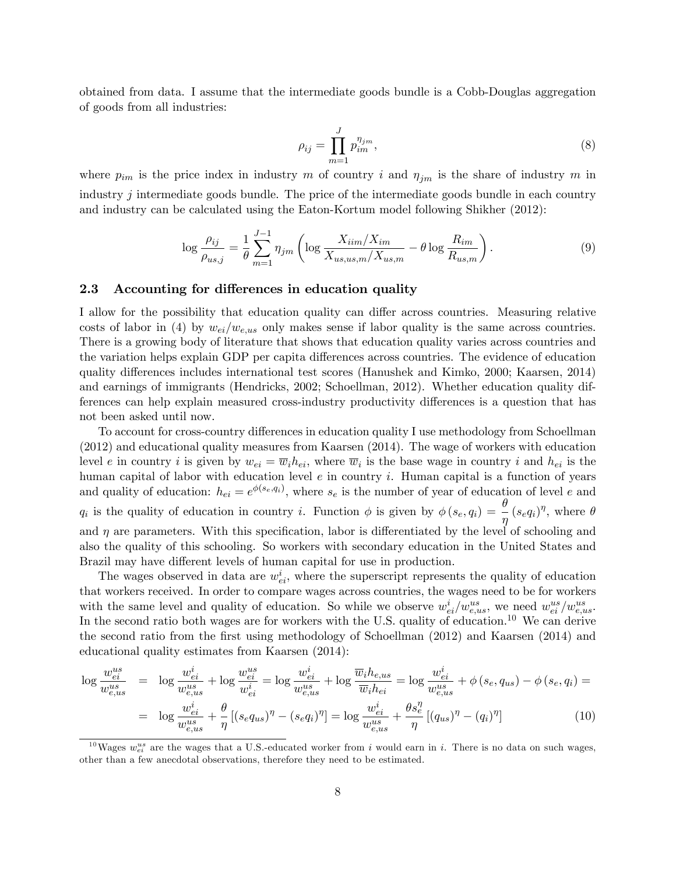obtained from data. I assume that the intermediate goods bundle is a Cobb-Douglas aggregation of goods from all industries:

$$
\rho_{ij} = \prod_{m=1}^{J} p_{im}^{\eta_{jm}},\tag{8}
$$

where  $p_{im}$  is the price index in industry m of country i and  $\eta_{jm}$  is the share of industry m in industry j intermediate goods bundle. The price of the intermediate goods bundle in each country and industry can be calculated using the Eaton-Kortum model following Shikher (2012):

$$
\log \frac{\rho_{ij}}{\rho_{us,j}} = \frac{1}{\theta} \sum_{m=1}^{J-1} \eta_{jm} \left( \log \frac{X_{iim}/X_{im}}{X_{us,us,m}/X_{us,m}} - \theta \log \frac{R_{im}}{R_{us,m}} \right). \tag{9}
$$

#### 2.3 Accounting for differences in education quality

I allow for the possibility that education quality can differ across countries. Measuring relative costs of labor in (4) by  $w_{ei}/w_{e,us}$  only makes sense if labor quality is the same across countries. There is a growing body of literature that shows that education quality varies across countries and the variation helps explain GDP per capita differences across countries. The evidence of education quality differences includes international test scores (Hanushek and Kimko, 2000; Kaarsen, 2014) and earnings of immigrants (Hendricks, 2002; Schoellman, 2012). Whether education quality differences can help explain measured cross-industry productivity differences is a question that has not been asked until now.

To account for cross-country differences in education quality I use methodology from Schoellman (2012) and educational quality measures from Kaarsen (2014). The wage of workers with education level e in country i is given by  $w_{ei} = \overline{w}_i h_{ei}$ , where  $\overline{w}_i$  is the base wage in country i and  $h_{ei}$  is the human capital of labor with education level  $e$  in country  $i$ . Human capital is a function of years and quality of education:  $h_{ei} = e^{\phi(s_e, q_i)}$ , where  $s_e$  is the number of year of education of level e and  $q_i$  is the quality of education in country i. Function  $\phi$  is given by  $\phi(s_e, q_i) = \frac{\theta}{\eta}(s_e q_i)^{\eta}$ , where  $\theta$ and  $\eta$  are parameters. With this specification, labor is differentiated by the level of schooling and also the quality of this schooling. So workers with secondary education in the United States and Brazil may have different levels of human capital for use in production.

The wages observed in data are  $w_{ei}^i$ , where the superscript represents the quality of education that workers received. In order to compare wages across countries, the wages need to be for workers with the same level and quality of education. So while we observe  $w_{ei}^i/w_{e,us}^{us}$ , we need  $w_{ei}^{us}/w_{e,us}^{us}$ . In the second ratio both wages are for workers with the U.S. quality of education.<sup>10</sup> We can derive the second ratio from the first using methodology of Schoellman (2012) and Kaarsen (2014) and educational quality estimates from Kaarsen (2014):

$$
\log \frac{w_{ei}^{us}}{w_{e,us}^{us}} = \log \frac{w_{ei}^{i}}{w_{e,us}^{us}} + \log \frac{w_{ei}^{us}}{w_{ei}^{i}} = \log \frac{w_{ei}^{i}}{w_{e,us}^{us}} + \log \frac{\overline{w}_{i}h_{e,us}}{\overline{w}_{i}h_{ei}} = \log \frac{w_{ei}^{i}}{w_{e,us}^{us}} + \phi(s_{e}, q_{us}) - \phi(s_{e}, q_{i}) =
$$

$$
= \log \frac{w_{ei}^{i}}{w_{e,us}^{us}} + \frac{\theta}{\eta} \left[ (s_{e}q_{us})^{\eta} - (s_{e}q_{i})^{\eta} \right] = \log \frac{w_{ei}^{i}}{w_{e,us}^{us}} + \frac{\theta s_{e}^{p}}{\eta} \left[ (q_{us})^{\eta} - (q_{i})^{\eta} \right] \tag{10}
$$

<sup>&</sup>lt;sup>10</sup>Wages  $w_{ei}^{us}$  are the wages that a U.S.-educated worker from i would earn in i. There is no data on such wages, other than a few anecdotal observations, therefore they need to be estimated.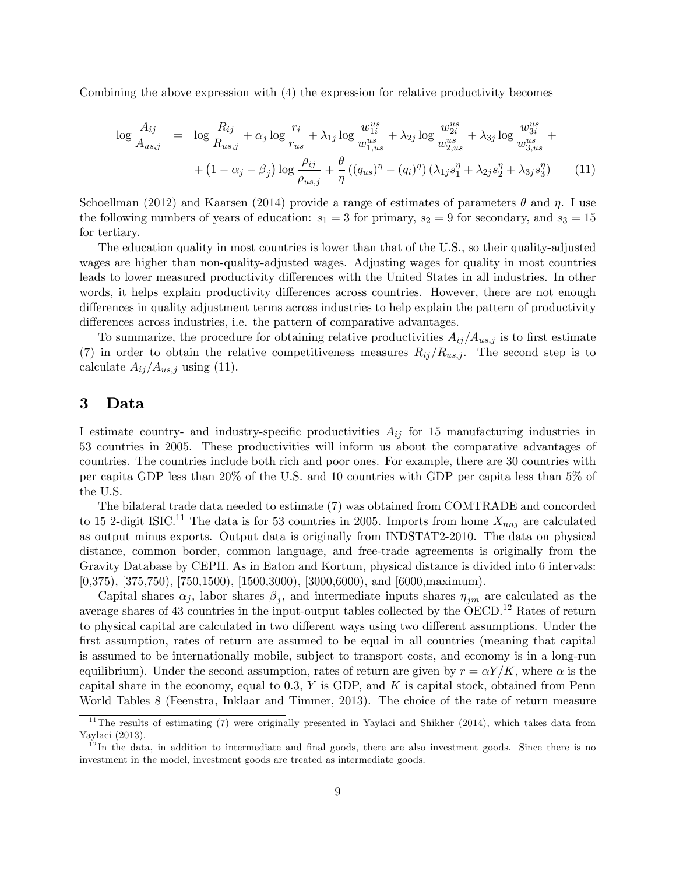Combining the above expression with (4) the expression for relative productivity becomes

$$
\log \frac{A_{ij}}{A_{us,j}} = \log \frac{R_{ij}}{R_{us,j}} + \alpha_j \log \frac{r_i}{r_{us}} + \lambda_{1j} \log \frac{w_{1i}^{us}}{w_{1,us}^{us}} + \lambda_{2j} \log \frac{w_{2i}^{us}}{w_{2,us}^{us}} + \lambda_{3j} \log \frac{w_{3i}^{us}}{w_{3,us}^{us}} + (1 - \alpha_j - \beta_j) \log \frac{\rho_{ij}}{\rho_{us,j}} + \frac{\theta}{\eta} ((q_{us})^{\eta} - (q_i)^{\eta}) (\lambda_{1j} s_1^{\eta} + \lambda_{2j} s_2^{\eta} + \lambda_{3j} s_3^{\eta}) \tag{11}
$$

Schoellman (2012) and Kaarsen (2014) provide a range of estimates of parameters  $\theta$  and  $\eta$ . I use the following numbers of years of education:  $s_1 = 3$  for primary,  $s_2 = 9$  for secondary, and  $s_3 = 15$ for tertiary.

The education quality in most countries is lower than that of the U.S., so their quality-adjusted wages are higher than non-quality-adjusted wages. Adjusting wages for quality in most countries leads to lower measured productivity differences with the United States in all industries. In other words, it helps explain productivity differences across countries. However, there are not enough differences in quality adjustment terms across industries to help explain the pattern of productivity differences across industries, i.e. the pattern of comparative advantages.

To summarize, the procedure for obtaining relative productivities  $A_{ij}/A_{us,j}$  is to first estimate (7) in order to obtain the relative competitiveness measures  $R_{ij}/R_{us,j}$ . The second step is to calculate  $A_{ij}/A_{us,j}$  using (11).

### 3 Data

I estimate country- and industry-specific productivities  $A_{ij}$  for 15 manufacturing industries in 53 countries in 2005. These productivities will inform us about the comparative advantages of countries. The countries include both rich and poor ones. For example, there are 30 countries with per capita GDP less than 20% of the U.S. and 10 countries with GDP per capita less than 5% of the U.S.

The bilateral trade data needed to estimate (7) was obtained from COMTRADE and concorded to 15 2-digit ISIC.<sup>11</sup> The data is for 53 countries in 2005. Imports from home  $X_{nnj}$  are calculated as output minus exports. Output data is originally from INDSTAT2-2010. The data on physical distance, common border, common language, and free-trade agreements is originally from the Gravity Database by CEPII. As in Eaton and Kortum, physical distance is divided into 6 intervals: [0,375), [375,750), [750,1500), [1500,3000), [3000,6000), and [6000, maximum).

Capital shares  $\alpha_j$ , labor shares  $\beta_j$ , and intermediate inputs shares  $\eta_{jm}$  are calculated as the average shares of 43 countries in the input-output tables collected by the  $\text{OECD}.^{12}$  Rates of return to physical capital are calculated in two different ways using two different assumptions. Under the first assumption, rates of return are assumed to be equal in all countries (meaning that capital is assumed to be internationally mobile, subject to transport costs, and economy is in a long-run equilibrium). Under the second assumption, rates of return are given by  $r = \alpha Y/K$ , where  $\alpha$  is the capital share in the economy, equal to  $0.3$ , Y is GDP, and K is capital stock, obtained from Penn World Tables 8 (Feenstra, Inklaar and Timmer, 2013). The choice of the rate of return measure

 $11$ The results of estimating (7) were originally presented in Yaylaci and Shikher (2014), which takes data from Yaylaci (2013).

 $12$ In the data, in addition to intermediate and final goods, there are also investment goods. Since there is no investment in the model, investment goods are treated as intermediate goods.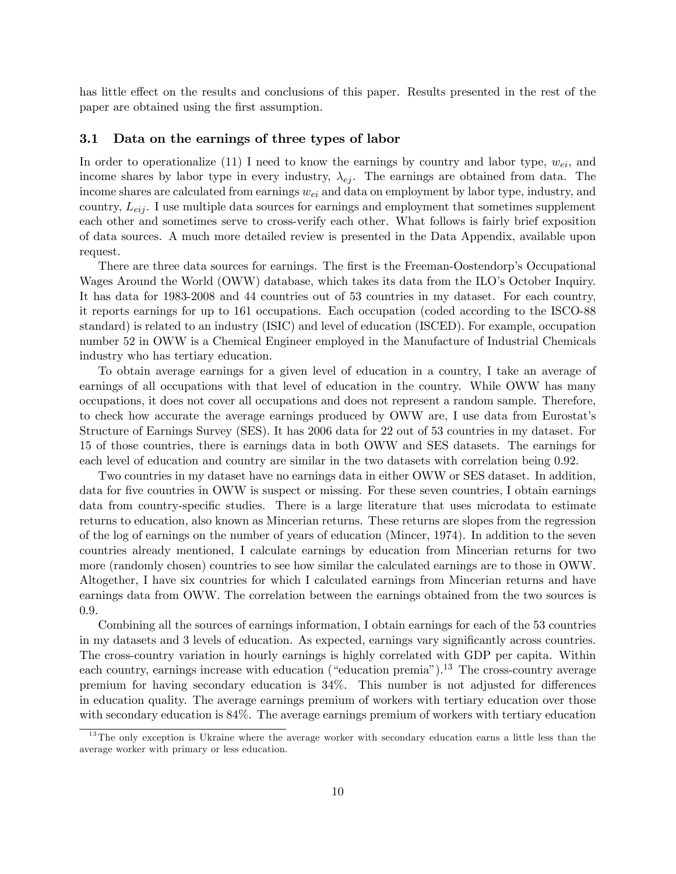has little effect on the results and conclusions of this paper. Results presented in the rest of the paper are obtained using the Örst assumption.

#### 3.1 Data on the earnings of three types of labor

In order to operationalize (11) I need to know the earnings by country and labor type,  $w_{ei}$ , and income shares by labor type in every industry,  $\lambda_{ej}$ . The earnings are obtained from data. The income shares are calculated from earnings  $w_{ei}$  and data on employment by labor type, industry, and country,  $L_{eij}$ . I use multiple data sources for earnings and employment that sometimes supplement each other and sometimes serve to cross-verify each other. What follows is fairly brief exposition of data sources. A much more detailed review is presented in the Data Appendix, available upon request.

There are three data sources for earnings. The first is the Freeman-Oostendorp's Occupational Wages Around the World (OWW) database, which takes its data from the ILO's October Inquiry. It has data for 1983-2008 and 44 countries out of 53 countries in my dataset. For each country, it reports earnings for up to 161 occupations. Each occupation (coded according to the ISCO-88 standard) is related to an industry (ISIC) and level of education (ISCED). For example, occupation number 52 in OWW is a Chemical Engineer employed in the Manufacture of Industrial Chemicals industry who has tertiary education.

To obtain average earnings for a given level of education in a country, I take an average of earnings of all occupations with that level of education in the country. While OWW has many occupations, it does not cover all occupations and does not represent a random sample. Therefore, to check how accurate the average earnings produced by OWW are, I use data from Eurostatís Structure of Earnings Survey (SES). It has 2006 data for 22 out of 53 countries in my dataset. For 15 of those countries, there is earnings data in both OWW and SES datasets. The earnings for each level of education and country are similar in the two datasets with correlation being 0.92.

Two countries in my dataset have no earnings data in either OWW or SES dataset. In addition, data for five countries in OWW is suspect or missing. For these seven countries, I obtain earnings data from country-specific studies. There is a large literature that uses microdata to estimate returns to education, also known as Mincerian returns. These returns are slopes from the regression of the log of earnings on the number of years of education (Mincer, 1974). In addition to the seven countries already mentioned, I calculate earnings by education from Mincerian returns for two more (randomly chosen) countries to see how similar the calculated earnings are to those in OWW. Altogether, I have six countries for which I calculated earnings from Mincerian returns and have earnings data from OWW. The correlation between the earnings obtained from the two sources is 0.9.

Combining all the sources of earnings information, I obtain earnings for each of the 53 countries in my datasets and 3 levels of education. As expected, earnings vary significantly across countries. The cross-country variation in hourly earnings is highly correlated with GDP per capita. Within each country, earnings increase with education ("education premia").<sup>13</sup> The cross-country average premium for having secondary education is  $34\%$ . This number is not adjusted for differences in education quality. The average earnings premium of workers with tertiary education over those with secondary education is 84%. The average earnings premium of workers with tertiary education

<sup>&</sup>lt;sup>13</sup>The only exception is Ukraine where the average worker with secondary education earns a little less than the average worker with primary or less education.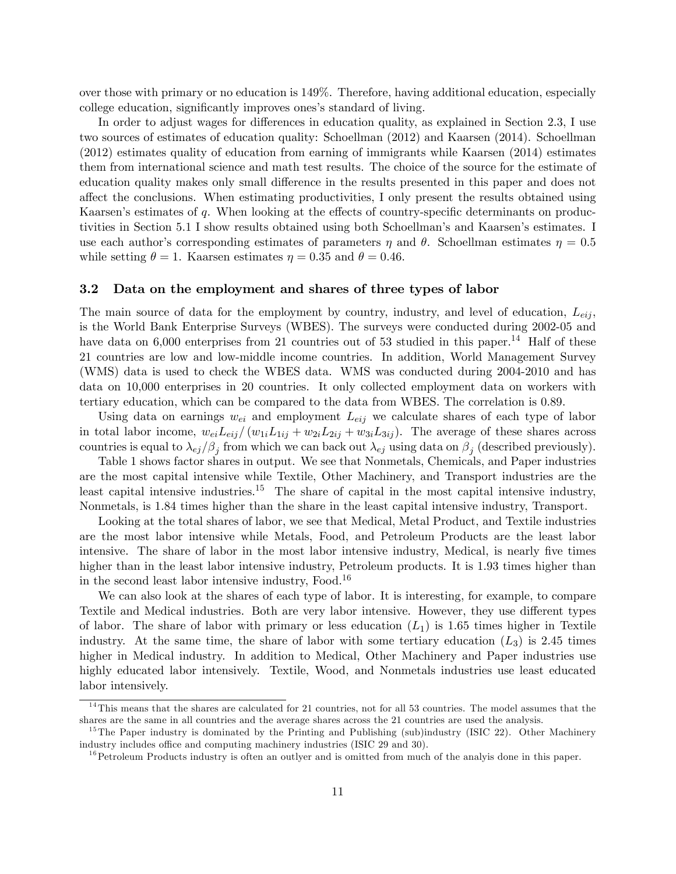over those with primary or no education is 149%. Therefore, having additional education, especially college education, significantly improves ones's standard of living.

In order to adjust wages for differences in education quality, as explained in Section 2.3, I use two sources of estimates of education quality: Schoellman (2012) and Kaarsen (2014). Schoellman (2012) estimates quality of education from earning of immigrants while Kaarsen (2014) estimates them from international science and math test results. The choice of the source for the estimate of education quality makes only small difference in the results presented in this paper and does not affect the conclusions. When estimating productivities, I only present the results obtained using Kaarsen's estimates of q. When looking at the effects of country-specific determinants on productivities in Section 5.1 I show results obtained using both Schoellman's and Kaarsen's estimates. I use each author's corresponding estimates of parameters  $\eta$  and  $\theta$ . Schoellman estimates  $\eta = 0.5$ while setting  $\theta = 1$ . Kaarsen estimates  $\eta = 0.35$  and  $\theta = 0.46$ .

#### 3.2 Data on the employment and shares of three types of labor

The main source of data for the employment by country, industry, and level of education,  $L_{eij}$ , is the World Bank Enterprise Surveys (WBES). The surveys were conducted during 2002-05 and have data on  $6,000$  enterprises from 21 countries out of 53 studied in this paper.<sup>14</sup> Half of these 21 countries are low and low-middle income countries. In addition, World Management Survey (WMS) data is used to check the WBES data. WMS was conducted during 2004-2010 and has data on 10,000 enterprises in 20 countries. It only collected employment data on workers with tertiary education, which can be compared to the data from WBES. The correlation is 0.89.

Using data on earnings  $w_{ei}$  and employment  $L_{eij}$  we calculate shares of each type of labor in total labor income,  $w_{ei}L_{eij}/(w_{1i}L_{1ij} + w_{2i}L_{2ij} + w_{3i}L_{3ij})$ . The average of these shares across countries is equal to  $\lambda_{ej}/\beta_j$  from which we can back out  $\lambda_{ej}$  using data on  $\beta_j$  (described previously).

Table 1 shows factor shares in output. We see that Nonmetals, Chemicals, and Paper industries are the most capital intensive while Textile, Other Machinery, and Transport industries are the least capital intensive industries.<sup>15</sup> The share of capital in the most capital intensive industry, Nonmetals, is 1.84 times higher than the share in the least capital intensive industry, Transport.

Looking at the total shares of labor, we see that Medical, Metal Product, and Textile industries are the most labor intensive while Metals, Food, and Petroleum Products are the least labor intensive. The share of labor in the most labor intensive industry, Medical, is nearly five times higher than in the least labor intensive industry, Petroleum products. It is 1.93 times higher than in the second least labor intensive industry,  $Food.16$ 

We can also look at the shares of each type of labor. It is interesting, for example, to compare Textile and Medical industries. Both are very labor intensive. However, they use different types of labor. The share of labor with primary or less education  $(L_1)$  is 1.65 times higher in Textile industry. At the same time, the share of labor with some tertiary education  $(L_3)$  is 2.45 times higher in Medical industry. In addition to Medical, Other Machinery and Paper industries use highly educated labor intensively. Textile, Wood, and Nonmetals industries use least educated labor intensively.

<sup>&</sup>lt;sup>14</sup>This means that the shares are calculated for 21 countries, not for all 53 countries. The model assumes that the shares are the same in all countries and the average shares across the 21 countries are used the analysis.

<sup>&</sup>lt;sup>15</sup>The Paper industry is dominated by the Printing and Publishing (sub)industry (ISIC 22). Other Machinery industry includes office and computing machinery industries (ISIC 29 and 30).

<sup>&</sup>lt;sup>16</sup> Petroleum Products industry is often an outlyer and is omitted from much of the analyis done in this paper.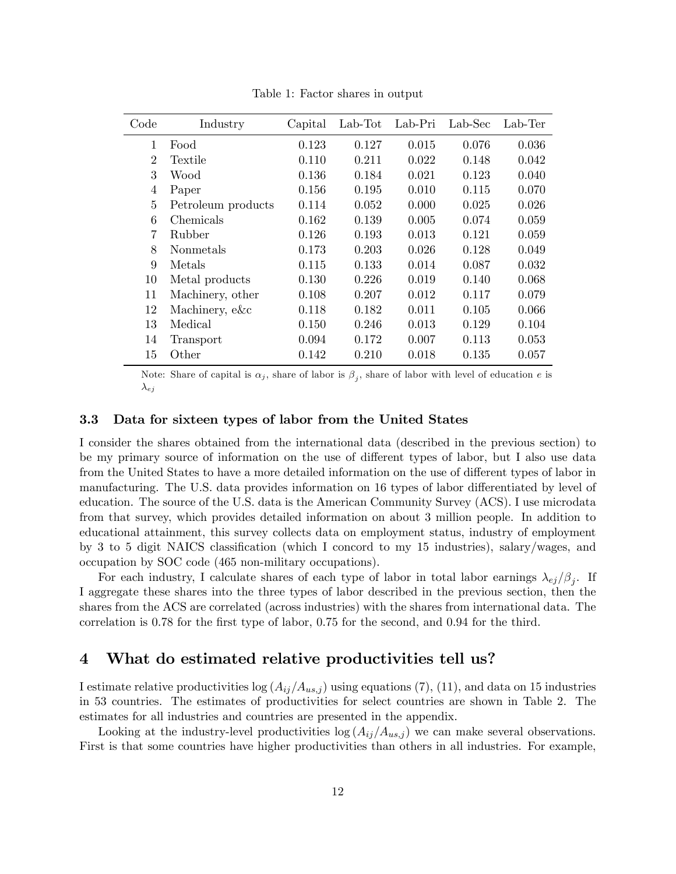| Code           | Industry           | Capital | Lab-Tot | Lab-Pri | Lab-Sec | Lab-Ter |
|----------------|--------------------|---------|---------|---------|---------|---------|
| 1              | Food               | 0.123   | 0.127   | 0.015   | 0.076   | 0.036   |
| $\overline{2}$ | Textile            | 0.110   | 0.211   | 0.022   | 0.148   | 0.042   |
| 3              | Wood               | 0.136   | 0.184   | 0.021   | 0.123   | 0.040   |
| 4              | Paper              | 0.156   | 0.195   | 0.010   | 0.115   | 0.070   |
| 5              | Petroleum products | 0.114   | 0.052   | 0.000   | 0.025   | 0.026   |
| 6              | Chemicals          | 0.162   | 0.139   | 0.005   | 0.074   | 0.059   |
| $\overline{7}$ | Rubber             | 0.126   | 0.193   | 0.013   | 0.121   | 0.059   |
| 8              | Nonmetals          | 0.173   | 0.203   | 0.026   | 0.128   | 0.049   |
| 9              | Metals             | 0.115   | 0.133   | 0.014   | 0.087   | 0.032   |
| 10             | Metal products     | 0.130   | 0.226   | 0.019   | 0.140   | 0.068   |
| 11             | Machinery, other   | 0.108   | 0.207   | 0.012   | 0.117   | 0.079   |
| 12             | Machinery, e&c     | 0.118   | 0.182   | 0.011   | 0.105   | 0.066   |
| 13             | Medical            | 0.150   | 0.246   | 0.013   | 0.129   | 0.104   |
| 14             | Transport          | 0.094   | 0.172   | 0.007   | 0.113   | 0.053   |
| 15             | $\mathrm{Other}$   | 0.142   | 0.210   | 0.018   | 0.135   | 0.057   |

Table 1: Factor shares in output

Note: Share of capital is  $\alpha_j$ , share of labor is  $\beta_j$ , share of labor with level of education e is  $\lambda_{ej}$ 

#### 3.3 Data for sixteen types of labor from the United States

I consider the shares obtained from the international data (described in the previous section) to be my primary source of information on the use of different types of labor, but I also use data from the United States to have a more detailed information on the use of different types of labor in manufacturing. The U.S. data provides information on 16 types of labor differentiated by level of education. The source of the U.S. data is the American Community Survey (ACS). I use microdata from that survey, which provides detailed information on about 3 million people. In addition to educational attainment, this survey collects data on employment status, industry of employment by 3 to 5 digit NAICS classification (which I concord to my 15 industries), salary/wages, and occupation by SOC code (465 non-military occupations).

For each industry, I calculate shares of each type of labor in total labor earnings  $\lambda_{ej}/\beta_j$ . If I aggregate these shares into the three types of labor described in the previous section, then the shares from the ACS are correlated (across industries) with the shares from international data. The correlation is 0.78 for the first type of labor, 0.75 for the second, and 0.94 for the third.

### 4 What do estimated relative productivities tell us?

I estimate relative productivities  $\log(A_{ij}/A_{us,j})$  using equations (7), (11), and data on 15 industries in 53 countries. The estimates of productivities for select countries are shown in Table 2. The estimates for all industries and countries are presented in the appendix.

Looking at the industry-level productivities  $\log(A_{ij}/A_{us,j})$  we can make several observations. First is that some countries have higher productivities than others in all industries. For example,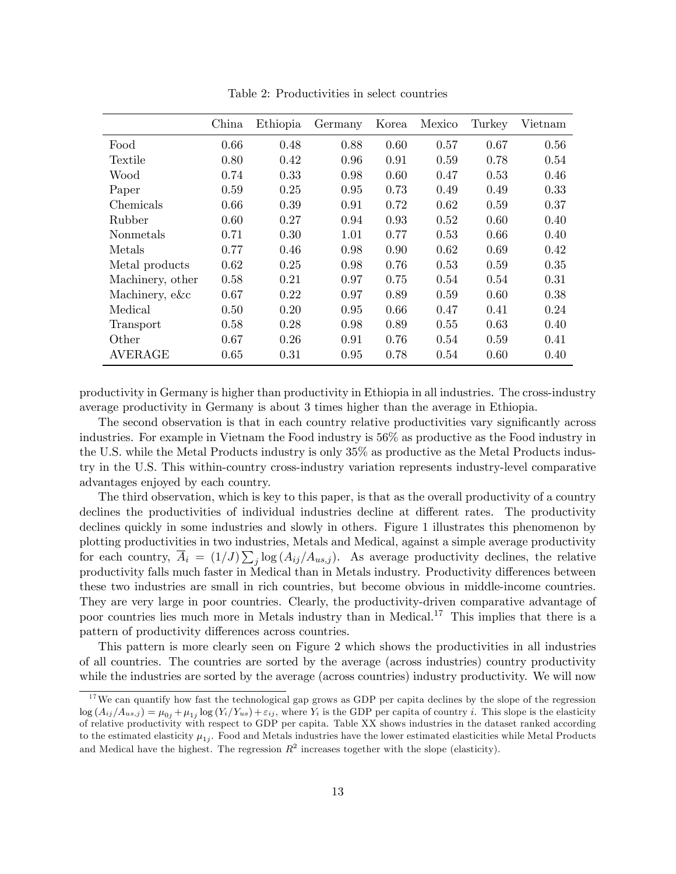|                  | China | Ethiopia | Germany | Korea | Mexico | Turkey | Vietnam |
|------------------|-------|----------|---------|-------|--------|--------|---------|
| Food             | 0.66  | 0.48     | 0.88    | 0.60  | 0.57   | 0.67   | 0.56    |
| Textile          | 0.80  | 0.42     | 0.96    | 0.91  | 0.59   | 0.78   | 0.54    |
| Wood             | 0.74  | 0.33     | 0.98    | 0.60  | 0.47   | 0.53   | 0.46    |
| Paper            | 0.59  | 0.25     | 0.95    | 0.73  | 0.49   | 0.49   | 0.33    |
| Chemicals        | 0.66  | 0.39     | 0.91    | 0.72  | 0.62   | 0.59   | 0.37    |
| Rubber           | 0.60  | 0.27     | 0.94    | 0.93  | 0.52   | 0.60   | 0.40    |
| Nonmetals        | 0.71  | 0.30     | 1.01    | 0.77  | 0.53   | 0.66   | 0.40    |
| Metals           | 0.77  | 0.46     | 0.98    | 0.90  | 0.62   | 0.69   | 0.42    |
| Metal products   | 0.62  | 0.25     | 0.98    | 0.76  | 0.53   | 0.59   | 0.35    |
| Machinery, other | 0.58  | 0.21     | 0.97    | 0.75  | 0.54   | 0.54   | 0.31    |
| Machinery, e&c   | 0.67  | 0.22     | 0.97    | 0.89  | 0.59   | 0.60   | 0.38    |
| Medical          | 0.50  | 0.20     | 0.95    | 0.66  | 0.47   | 0.41   | 0.24    |
| Transport        | 0.58  | 0.28     | 0.98    | 0.89  | 0.55   | 0.63   | 0.40    |
| Other            | 0.67  | 0.26     | 0.91    | 0.76  | 0.54   | 0.59   | 0.41    |
| AVERAGE          | 0.65  | 0.31     | 0.95    | 0.78  | 0.54   | 0.60   | 0.40    |

Table 2: Productivities in select countries

productivity in Germany is higher than productivity in Ethiopia in all industries. The cross-industry average productivity in Germany is about 3 times higher than the average in Ethiopia.

The second observation is that in each country relative productivities vary significantly across industries. For example in Vietnam the Food industry is 56% as productive as the Food industry in the U.S. while the Metal Products industry is only 35% as productive as the Metal Products industry in the U.S. This within-country cross-industry variation represents industry-level comparative advantages enjoyed by each country.

The third observation, which is key to this paper, is that as the overall productivity of a country declines the productivities of individual industries decline at different rates. The productivity declines quickly in some industries and slowly in others. Figure 1 illustrates this phenomenon by plotting productivities in two industries, Metals and Medical, against a simple average productivity for each country,  $\overline{A}_i = (1/J) \sum_j \log (A_{ij}/A_{us,j})$ . As average productivity declines, the relative productivity falls much faster in Medical than in Metals industry. Productivity differences between these two industries are small in rich countries, but become obvious in middle-income countries. They are very large in poor countries. Clearly, the productivity-driven comparative advantage of poor countries lies much more in Metals industry than in Medical.<sup>17</sup> This implies that there is a pattern of productivity differences across countries.

This pattern is more clearly seen on Figure 2 which shows the productivities in all industries of all countries. The countries are sorted by the average (across industries) country productivity while the industries are sorted by the average (across countries) industry productivity. We will now

 $17\,\text{We can quantify how fast the technological gap grows as GDP per capita declines by the slope of the regression.}$  $\log (A_{ij}/A_{us,j}) = \mu_{0j} + \mu_{1j} \log (Y_i/Y_{us}) + \varepsilon_{ij}$ , where  $Y_i$  is the GDP per capita of country i. This slope is the elasticity of relative productivity with respect to GDP per capita. Table XX shows industries in the dataset ranked according to the estimated elasticity  $\mu_{1j}$ . Food and Metals industries have the lower estimated elasticities while Metal Products and Medical have the highest. The regression  $R^2$  increases together with the slope (elasticity).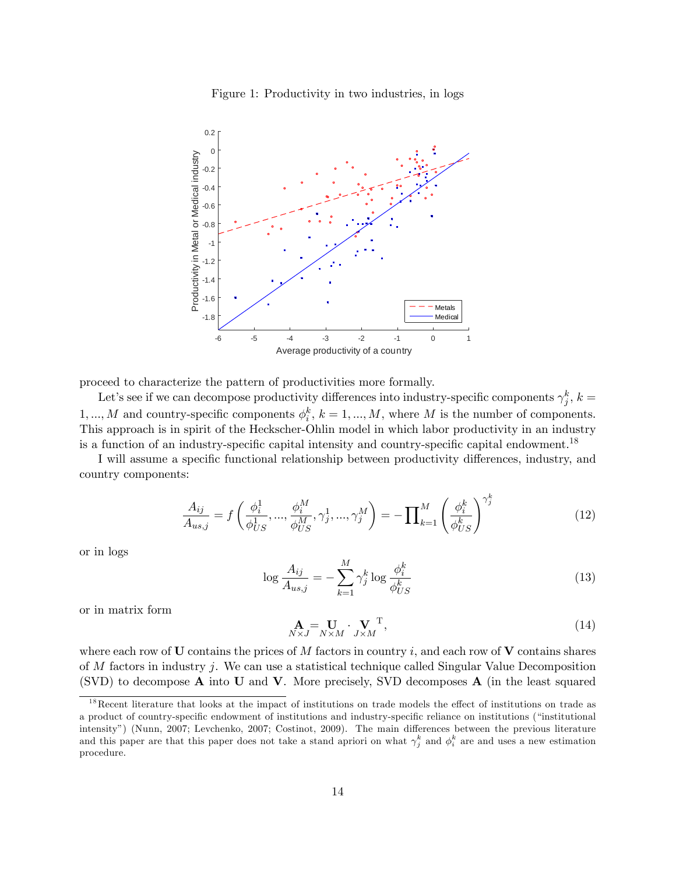Figure 1: Productivity in two industries, in logs



proceed to characterize the pattern of productivities more formally.

Let's see if we can decompose productivity differences into industry-specific components  $\gamma^k_j, k =$ 1, ..., M and country-specific components  $\phi_i^k$ ,  $k = 1, ..., M$ , where M is the number of components. This approach is in spirit of the Heckscher-Ohlin model in which labor productivity in an industry is a function of an industry-specific capital intensity and country-specific capital endowment.<sup>18</sup>

I will assume a specific functional relationship between productivity differences, industry, and country components:

$$
\frac{A_{ij}}{A_{us,j}} = f\left(\frac{\phi_i^1}{\phi_{US}^1}, \dots, \frac{\phi_i^M}{\phi_{US}^M}, \gamma_j^1, \dots, \gamma_j^M\right) = -\prod_{k=1}^M \left(\frac{\phi_i^k}{\phi_{US}^k}\right)^{\gamma_j^k}
$$
(12)

or in logs

$$
\log \frac{A_{ij}}{A_{us,j}} = -\sum_{k=1}^{M} \gamma_j^k \log \frac{\phi_i^k}{\phi_{US}^k}
$$
\n(13)

or in matrix form

$$
\mathbf{A} = \mathbf{U} \cdot \mathbf{V}^{\mathrm{T}},
$$
  

$$
N \times J \quad N \times M \quad J \times M
$$
 (14)

where each row of  **contains the prices of M factors in country i, and each row of**  $**V**$  **contains shares** of M factors in industry j. We can use a statistical technique called Singular Value Decomposition (SVD) to decompose A into U and V. More precisely, SVD decomposes A (in the least squared

 $18$ Recent literature that looks at the impact of institutions on trade models the effect of institutions on trade as a product of country-specific endowment of institutions and industry-specific reliance on institutions ("institutional") intensity") (Nunn, 2007; Levchenko, 2007; Costinot, 2009). The main differences between the previous literature and this paper are that this paper does not take a stand apriori on what  $\gamma_j^k$  and  $\phi_i^k$  are and uses a new estimation procedure.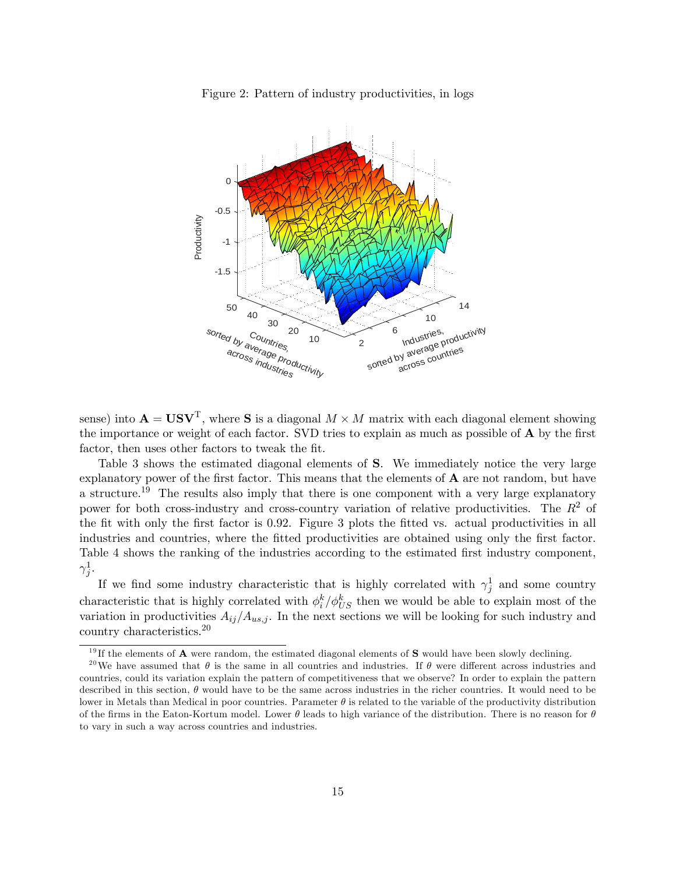

Figure 2: Pattern of industry productivities, in logs

sense) into  $\mathbf{A} = \mathbf{U}\mathbf{S}\mathbf{V}^{\mathrm{T}}$ , where  $\mathbf{S}$  is a diagonal  $M \times M$  matrix with each diagonal element showing the importance or weight of each factor. SVD tries to explain as much as possible of  $\bf{A}$  by the first factor, then uses other factors to tweak the fit.

Table 3 shows the estimated diagonal elements of S. We immediately notice the very large explanatory power of the first factor. This means that the elements of  $A$  are not random, but have a structure.<sup>19</sup> The results also imply that there is one component with a very large explanatory power for both cross-industry and cross-country variation of relative productivities. The  $R<sup>2</sup>$  of the fit with only the first factor is 0.92. Figure 3 plots the fitted vs. actual productivities in all industries and countries, where the fitted productivities are obtained using only the first factor. Table 4 shows the ranking of the industries according to the estimated first industry component,  $\gamma^1_j$ .

If we find some industry characteristic that is highly correlated with  $\gamma_j^1$  and some country characteristic that is highly correlated with  $\phi_i^k/\phi_{US}^k$  then we would be able to explain most of the variation in productivities  $A_{ij}/A_{us,j}$ . In the next sections we will be looking for such industry and country characteristics.<sup>20</sup>

<sup>&</sup>lt;sup>19</sup>If the elements of **A** were random, the estimated diagonal elements of **S** would have been slowly declining.

<sup>&</sup>lt;sup>20</sup>We have assumed that  $\theta$  is the same in all countries and industries. If  $\theta$  were different across industries and countries, could its variation explain the pattern of competitiveness that we observe? In order to explain the pattern described in this section,  $\theta$  would have to be the same across industries in the richer countries. It would need to be lower in Metals than Medical in poor countries. Parameter  $\theta$  is related to the variable of the productivity distribution of the firms in the Eaton-Kortum model. Lower  $\theta$  leads to high variance of the distribution. There is no reason for  $\theta$ to vary in such a way across countries and industries.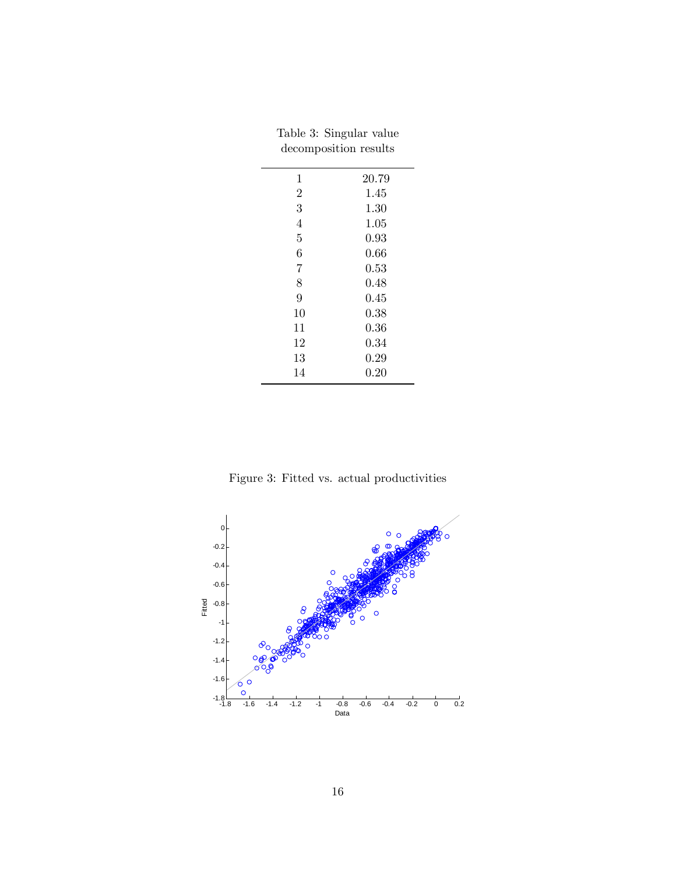|                | decomposition results |
|----------------|-----------------------|
| 1              | 20.79                 |
| $\overline{2}$ | 1.45                  |
| 3              | 1.30                  |
| $\overline{4}$ | 1.05                  |
| $\overline{5}$ | 0.93                  |
| 6              | 0.66                  |
| $\overline{7}$ | 0.53                  |
| 8              | 0.48                  |
| 9              | 0.45                  |
| 10             | 0.38                  |
| 11             | 0.36                  |
| 12             | 0.34                  |
| 13             | 0.29                  |
| 14             | 0.20                  |

Table 3: Singular value decomposition results

Figure 3: Fitted vs. actual productivities

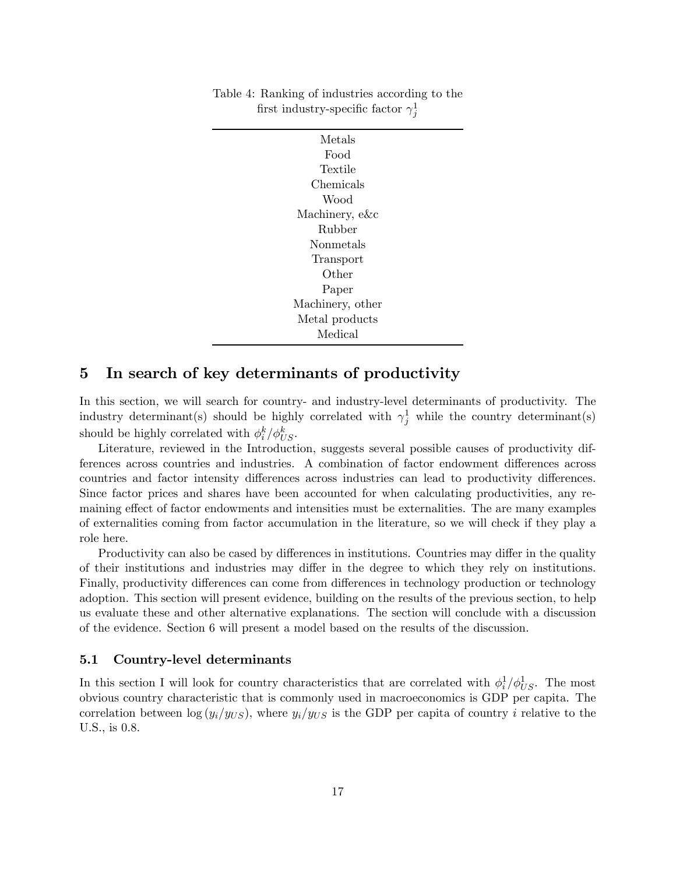| Metals           |  |
|------------------|--|
| Food             |  |
| Textile          |  |
| Chemicals        |  |
| Wood             |  |
| Machinery, e&c   |  |
| Rubber           |  |
| Nonmetals        |  |
| Transport        |  |
| Other            |  |
| Paper            |  |
| Machinery, other |  |
| Metal products   |  |
| Medical          |  |
|                  |  |

Table 4: Ranking of industries according to the first industry-specific factor  $\gamma_j^1$ 

## 5 In search of key determinants of productivity

In this section, we will search for country- and industry-level determinants of productivity. The industry determinant(s) should be highly correlated with  $\gamma_j^1$  while the country determinant(s) should be highly correlated with  $\phi_i^k/\phi_{US}^k$ .

Literature, reviewed in the Introduction, suggests several possible causes of productivity differences across countries and industries. A combination of factor endowment differences across countries and factor intensity differences across industries can lead to productivity differences. Since factor prices and shares have been accounted for when calculating productivities, any remaining effect of factor endowments and intensities must be externalities. The are many examples of externalities coming from factor accumulation in the literature, so we will check if they play a role here.

Productivity can also be cased by differences in institutions. Countries may differ in the quality of their institutions and industries may differ in the degree to which they rely on institutions. Finally, productivity differences can come from differences in technology production or technology adoption. This section will present evidence, building on the results of the previous section, to help us evaluate these and other alternative explanations. The section will conclude with a discussion of the evidence. Section 6 will present a model based on the results of the discussion.

#### 5.1 Country-level determinants

In this section I will look for country characteristics that are correlated with  $\phi_i^1/\phi_{US}^1$ . The most obvious country characteristic that is commonly used in macroeconomics is GDP per capita. The correlation between  $\log(y_i/y_{US})$ , where  $y_i/y_{US}$  is the GDP per capita of country i relative to the U.S., is 0.8.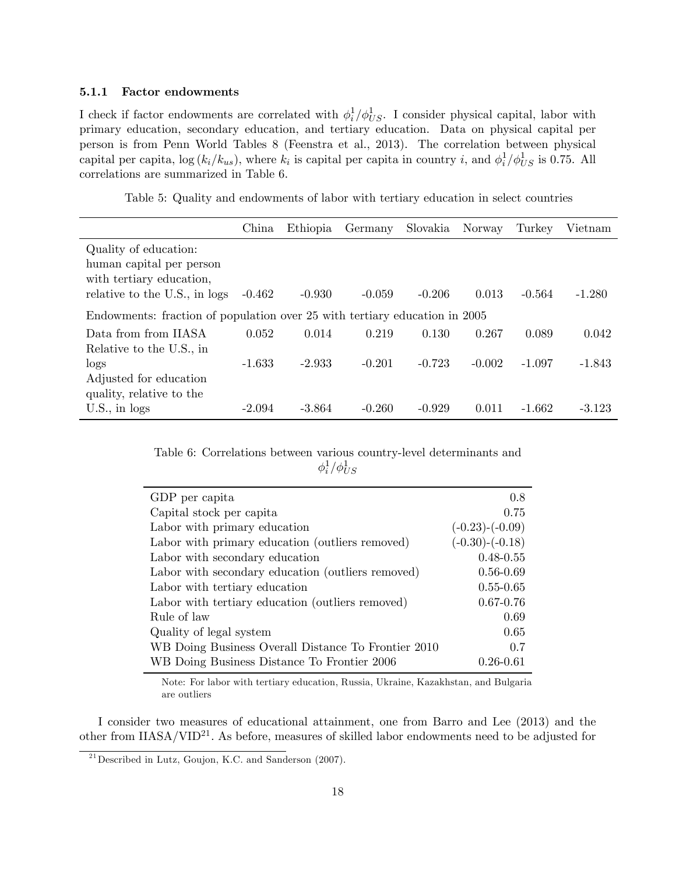#### 5.1.1 Factor endowments

I check if factor endowments are correlated with  $\phi_i^1/\phi_{US}^1$ . I consider physical capital, labor with primary education, secondary education, and tertiary education. Data on physical capital per person is from Penn World Tables 8 (Feenstra et al., 2013). The correlation between physical capital per capita,  $\log (k_i/k_{us})$ , where  $k_i$  is capital per capita in country i, and  $\phi_i^1/\phi_{US}^1$  is 0.75. All correlations are summarized in Table 6.

Table 5: Quality and endowments of labor with tertiary education in select countries

|                                                                            | China    | Ethiopia | Germany  | Slovakia | Norway   | Turkey   | Vietnam  |
|----------------------------------------------------------------------------|----------|----------|----------|----------|----------|----------|----------|
| Quality of education:                                                      |          |          |          |          |          |          |          |
| human capital per person                                                   |          |          |          |          |          |          |          |
| with tertiary education,                                                   |          |          |          |          |          |          |          |
| relative to the U.S., in logs                                              | $-0.462$ | $-0.930$ | $-0.059$ | $-0.206$ | 0.013    | $-0.564$ | $-1.280$ |
| Endowments: fraction of population over 25 with tertiary education in 2005 |          |          |          |          |          |          |          |
| Data from from IIASA                                                       | 0.052    | 0.014    | 0.219    | 0.130    | 0.267    | 0.089    | 0.042    |
| Relative to the U.S., in                                                   |          |          |          |          |          |          |          |
| logs                                                                       | $-1.633$ | $-2.933$ | $-0.201$ | $-0.723$ | $-0.002$ | $-1.097$ | $-1.843$ |
| Adjusted for education                                                     |          |          |          |          |          |          |          |
| quality, relative to the                                                   |          |          |          |          |          |          |          |
| $U.S.,$ in logs                                                            | $-2.094$ | -3.864   | $-0.260$ | $-0.929$ | 0.011    | $-1.662$ | $-3.123$ |

Table 6: Correlations between various country-level determinants and  $\phi^1_i/\phi^1_{US}$ 

| GDP per capita                                      | 0.8                   |
|-----------------------------------------------------|-----------------------|
| Capital stock per capita                            | 0.75                  |
| Labor with primary education                        | $(-0.23)$ - $(-0.09)$ |
| Labor with primary education (outliers removed)     | $(-0.30)$ - $(-0.18)$ |
| Labor with secondary education                      | $0.48 - 0.55$         |
| Labor with secondary education (outliers removed)   | $0.56 - 0.69$         |
| Labor with tertiary education                       | $0.55 - 0.65$         |
| Labor with tertiary education (outliers removed)    | $0.67 - 0.76$         |
| Rule of law                                         | 0.69                  |
| Quality of legal system                             | 0.65                  |
| WB Doing Business Overall Distance To Frontier 2010 | 0.7                   |
| WB Doing Business Distance To Frontier 2006         | $0.26 - 0.61$         |
|                                                     |                       |

Note: For labor with tertiary education, Russia, Ukraine, Kazakhstan, and Bulgaria are outliers

I consider two measures of educational attainment, one from Barro and Lee (2013) and the other from IIASA/VID<sup>21</sup>. As before, measures of skilled labor endowments need to be adjusted for

 $21$  Described in Lutz, Goujon, K.C. and Sanderson (2007).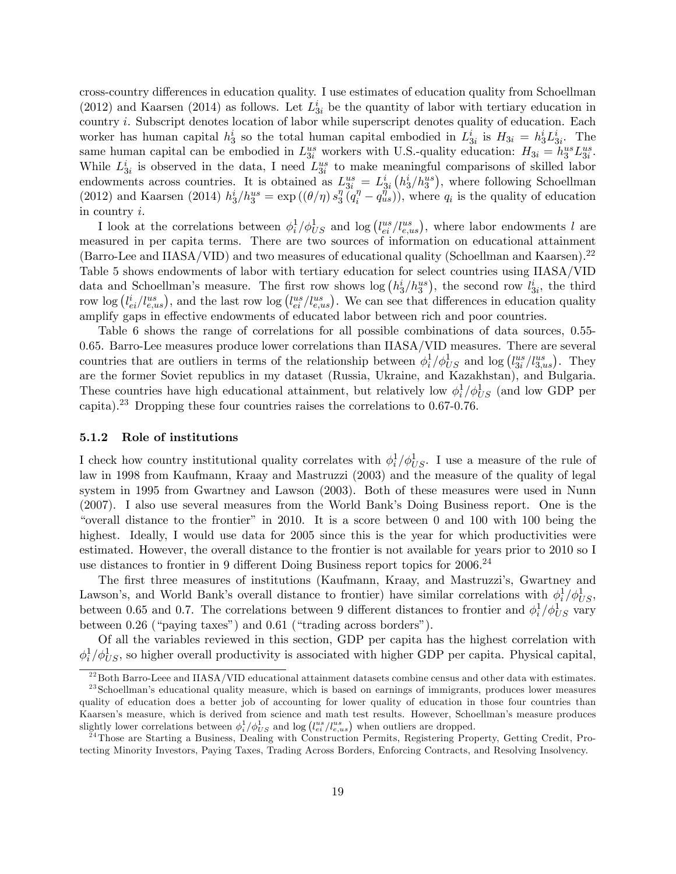cross-country differences in education quality. I use estimates of education quality from Schoellman (2012) and Kaarsen (2014) as follows. Let  $L_{3i}^{i}$  be the quantity of labor with tertiary education in country i. Subscript denotes location of labor while superscript denotes quality of education. Each worker has human capital  $h_3^i$  so the total human capital embodied in  $L_{3i}^i$  is  $H_{3i} = h_3^i L_{3i}^i$ . The same human capital can be embodied in  $L_{3i}^{us}$  workers with U.S.-quality education:  $H_{3i} = h_3^{us} L_{3i}^{us}$ . While  $L_{3i}^i$  is observed in the data, I need  $L_{3i}^{us}$  to make meaningful comparisons of skilled labor endowments across countries. It is obtained as  $L_{3i}^{us} = L_{3i}^{i} (h_3^i/h_3^{us})$ , where following Schoellman (2012) and Kaarsen (2014)  $h_3^i/h_3^{us} = \exp((\theta/\eta) s_3^{\eta})$  $\binom{\eta}{3}(\vec{q}_i^{\eta} - \vec{q}_{us}^{\eta})$ , where  $q_i$  is the quality of education in country i.

I look at the correlations between  $\phi_i^1/\phi_{US}^1$  and log  $(l_{ei}^{us}/l_{e,us}^{us}),$  where labor endowments l are measured in per capita terms. There are two sources of information on educational attainment (Barro-Lee and IIASA/VID) and two measures of educational quality (Schoellman and Kaarsen).<sup>22</sup> Table 5 shows endowments of labor with tertiary education for select countries using IIASA/VID data and Schoellman's measure. The first row shows  $\log (h_3^i/h_3^{us})$ , the second row  $l_{3i}^i$ , the third row log  $(l_{ei}^i/l_{e,us}^{us})$ , and the last row log  $(l_{ei}^{us}/l_{e,us}^{us})$ . We can see that differences in education quality amplify gaps in effective endowments of educated labor between rich and poor countries.

Table 6 shows the range of correlations for all possible combinations of data sources, 0.55- 0.65. Barro-Lee measures produce lower correlations than IIASA/VID measures. There are several countries that are outliers in terms of the relationship between  $\phi_i^1/\phi_{US}^1$  and  $\log (l_{3i}^{us}/l_{3,us}^{us})$ . They are the former Soviet republics in my dataset (Russia, Ukraine, and Kazakhstan), and Bulgaria. These countries have high educational attainment, but relatively low  $\phi_i^1/\phi_{US}^1$  (and low GDP per capita).<sup>23</sup> Dropping these four countries raises the correlations to 0.67-0.76.

#### 5.1.2 Role of institutions

I check how country institutional quality correlates with  $\phi_i^1/\phi_{US}^1$ . I use a measure of the rule of law in 1998 from Kaufmann, Kraay and Mastruzzi (2003) and the measure of the quality of legal system in 1995 from Gwartney and Lawson (2003). Both of these measures were used in Nunn (2007). I also use several measures from the World Bankís Doing Business report. One is the "overall distance to the frontier" in 2010. It is a score between 0 and 100 with 100 being the highest. Ideally, I would use data for 2005 since this is the year for which productivities were estimated. However, the overall distance to the frontier is not available for years prior to 2010 so I use distances to frontier in 9 different Doing Business report topics for  $2006.<sup>24</sup>$ 

The first three measures of institutions (Kaufmann, Kraay, and Mastruzzi's, Gwartney and Lawson's, and World Bank's overall distance to frontier) have similar correlations with  $\phi_i^1/\phi_{US}^1$ , between 0.65 and 0.7. The correlations between 9 different distances to frontier and  $\phi_i^1/\phi_{US}^1$  vary between  $0.26$  ("paying taxes") and  $0.61$  ("trading across borders").

Of all the variables reviewed in this section, GDP per capita has the highest correlation with  $\phi_i^1/\phi_{US}^1$ , so higher overall productivity is associated with higher GDP per capita. Physical capital,

<sup>&</sup>lt;sup>22</sup>Both Barro-Leee and IIASA/VID educational attainment datasets combine census and other data with estimates.

<sup>&</sup>lt;sup>23</sup>Schoellman's educational quality measure, which is based on earnings of immigrants, produces lower measures quality of education does a better job of accounting for lower quality of education in those four countries than Kaarsenís measure, which is derived from science and math test results. However, Schoellmanís measure produces slightly lower correlations between  $\phi_i^1/\phi_{US}^1$  and  $\log \left(l_{ei}^{us}/l_{e,us}^{us}\right)$  when outliers are dropped.

<sup>&</sup>lt;sup>24</sup>Those are Starting a Business, Dealing with Construction Permits, Registering Property, Getting Credit, Protecting Minority Investors, Paying Taxes, Trading Across Borders, Enforcing Contracts, and Resolving Insolvency.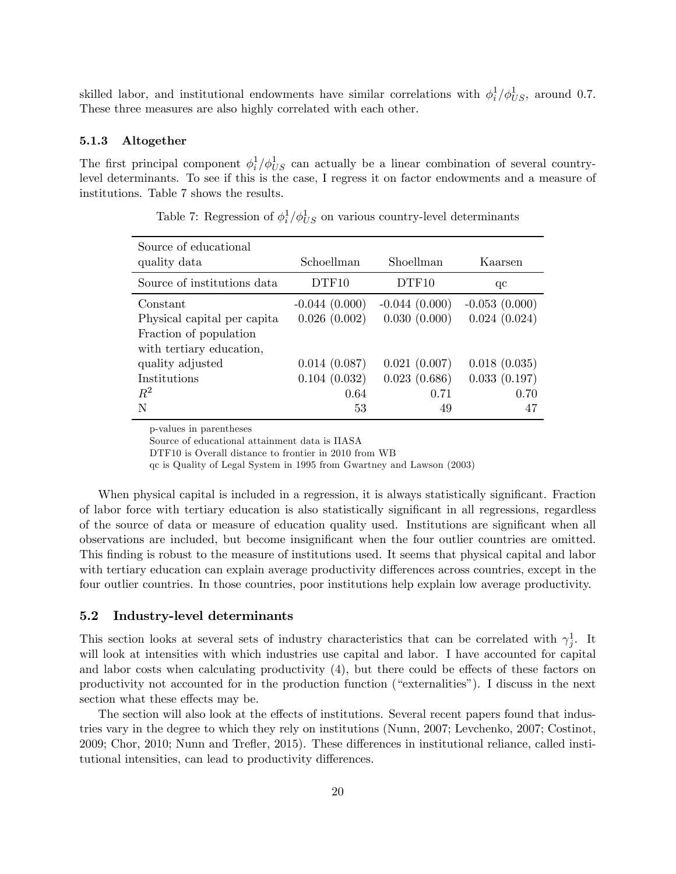skilled labor, and institutional endowments have similar correlations with  $\phi_i^1/\phi_{US}^1$ , around 0.7. These three measures are also highly correlated with each other.

#### 5.1.3 Altogether

The first principal component  $\phi_i^1/\phi_{US}^1$  can actually be a linear combination of several countrylevel determinants. To see if this is the case, I regress it on factor endowments and a measure of institutions. Table 7 shows the results.

| Source of educational<br>quality data                                                         | Schoellman                      | Shoellman                       | Kaarsen                         |
|-----------------------------------------------------------------------------------------------|---------------------------------|---------------------------------|---------------------------------|
| Source of institutions data                                                                   | DTF10                           | DTF10                           | qc                              |
| Constant<br>Physical capital per capita<br>Fraction of population<br>with tertiary education, | $-0.044(0.000)$<br>0.026(0.002) | $-0.044(0.000)$<br>0.030(0.000) | $-0.053(0.000)$<br>0.024(0.024) |
| quality adjusted                                                                              | 0.014(0.087)                    | 0.021(0.007)                    | 0.018(0.035)                    |
| Institutions                                                                                  | 0.104(0.032)                    | 0.023(0.686)                    | 0.033(0.197)                    |
| $R^2$                                                                                         | 0.64                            | 0.71                            | 0.70                            |
| N                                                                                             | 53                              | 49                              | 47                              |

Table 7: Regression of  $\phi_i^1/\phi_{US}^1$  on various country-level determinants

p-values in parentheses

Source of educational attainment data is IIASA

DTF10 is Overall distance to frontier in 2010 from WB

qc is Quality of Legal System in 1995 from Gwartney and Lawson (2003)

When physical capital is included in a regression, it is always statistically significant. Fraction of labor force with tertiary education is also statistically significant in all regressions, regardless of the source of data or measure of education quality used. Institutions are significant when all observations are included, but become insignificant when the four outlier countries are omitted. This finding is robust to the measure of institutions used. It seems that physical capital and labor with tertiary education can explain average productivity differences across countries, except in the four outlier countries. In those countries, poor institutions help explain low average productivity.

#### 5.2 Industry-level determinants

This section looks at several sets of industry characteristics that can be correlated with  $\gamma_j^1$ . It will look at intensities with which industries use capital and labor. I have accounted for capital and labor costs when calculating productivity  $(4)$ , but there could be effects of these factors on productivity not accounted for in the production function ("externalities"). I discuss in the next section what these effects may be.

The section will also look at the effects of institutions. Several recent papers found that industries vary in the degree to which they rely on institutions (Nunn, 2007; Levchenko, 2007; Costinot, 2009; Chor, 2010; Nunn and Trefler, 2015). These differences in institutional reliance, called institutional intensities, can lead to productivity differences.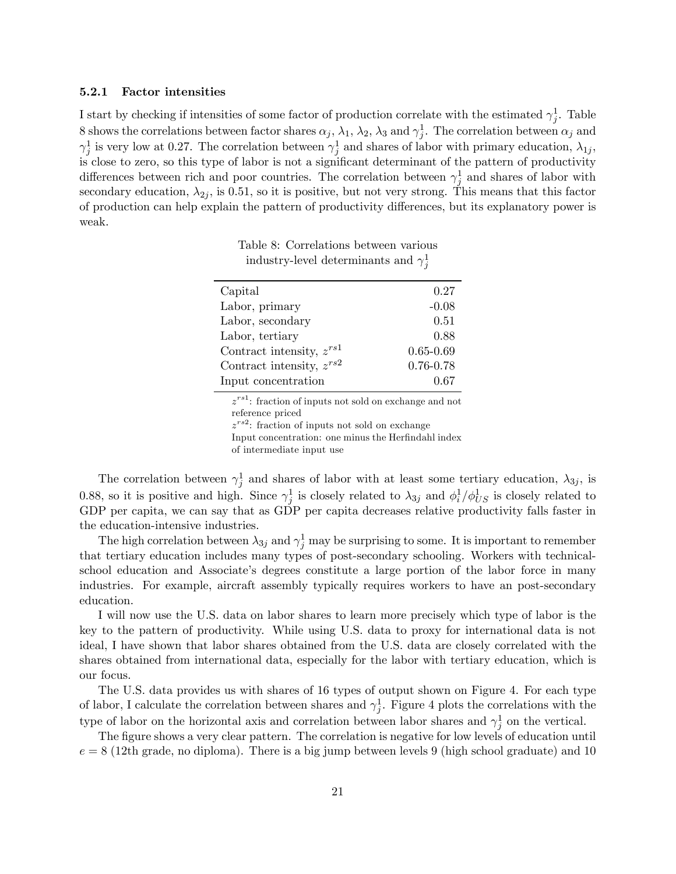#### 5.2.1 Factor intensities

I start by checking if intensities of some factor of production correlate with the estimated  $\gamma_j^1$ . Table 8 shows the correlations between factor shares  $\alpha_j$ ,  $\lambda_1$ ,  $\lambda_2$ ,  $\lambda_3$  and  $\gamma_j^1$ . The correlation between  $\alpha_j$  and  $\gamma_j^1$  is very low at 0.27. The correlation between  $\gamma_j^1$  and shares of labor with primary education,  $\lambda_{1j}$ , is close to zero, so this type of labor is not a significant determinant of the pattern of productivity differences between rich and poor countries. The correlation between  $\gamma_j^1$  and shares of labor with secondary education,  $\lambda_{2j}$ , is 0.51, so it is positive, but not very strong. This means that this factor of production can help explain the pattern of productivity differences, but its explanatory power is weak.

Table 8: Correlations between various industry-level determinants and  $\gamma_j^1$ 

| Capital                       | 0.27          |
|-------------------------------|---------------|
| Labor, primary                | $-0.08$       |
| Labor, secondary              | 0.51          |
| Labor, tertiary               | 0.88          |
| Contract intensity, $z^{rs1}$ | $0.65 - 0.69$ |
| Contract intensity, $z^{rs2}$ | $0.76 - 0.78$ |
| Input concentration           | በ 67          |
|                               |               |

 $z^{rs1}$ : fraction of inputs not sold on exchange and not reference priced

 $z^{rs2}$ : fraction of inputs not sold on exchange

Input concentration: one minus the Herfindahl index

of intermediate input use

The correlation between  $\gamma_j^1$  and shares of labor with at least some tertiary education,  $\lambda_{3j}$ , is 0.88, so it is positive and high. Since  $\gamma_j^1$  is closely related to  $\lambda_{3j}$  and  $\phi_i^1/\phi_{US}^1$  is closely related to GDP per capita, we can say that as GDP per capita decreases relative productivity falls faster in the education-intensive industries.

The high correlation between  $\lambda_{3j}$  and  $\gamma_j^1$  may be surprising to some. It is important to remember that tertiary education includes many types of post-secondary schooling. Workers with technicalschool education and Associate's degrees constitute a large portion of the labor force in many industries. For example, aircraft assembly typically requires workers to have an post-secondary education.

I will now use the U.S. data on labor shares to learn more precisely which type of labor is the key to the pattern of productivity. While using U.S. data to proxy for international data is not ideal, I have shown that labor shares obtained from the U.S. data are closely correlated with the shares obtained from international data, especially for the labor with tertiary education, which is our focus.

The U.S. data provides us with shares of 16 types of output shown on Figure 4. For each type of labor, I calculate the correlation between shares and  $\gamma_j^1$ . Figure 4 plots the correlations with the type of labor on the horizontal axis and correlation between labor shares and  $\gamma_j^1$  on the vertical.

The figure shows a very clear pattern. The correlation is negative for low levels of education until  $e = 8$  (12th grade, no diploma). There is a big jump between levels 9 (high school graduate) and 10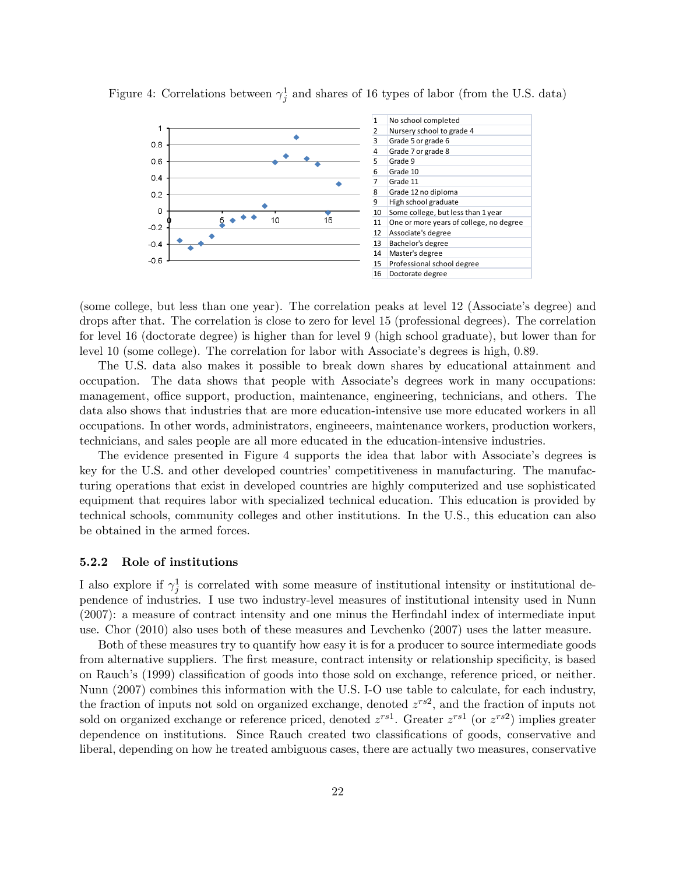

Figure 4: Correlations between  $\gamma_j^1$  and shares of 16 types of labor (from the U.S. data)

(some college, but less than one year). The correlation peaks at level 12 (Associate's degree) and drops after that. The correlation is close to zero for level 15 (professional degrees). The correlation for level 16 (doctorate degree) is higher than for level 9 (high school graduate), but lower than for level 10 (some college). The correlation for labor with Associate's degrees is high, 0.89.

The U.S. data also makes it possible to break down shares by educational attainment and occupation. The data shows that people with Associate's degrees work in many occupations: management, office support, production, maintenance, engineering, technicians, and others. The data also shows that industries that are more education-intensive use more educated workers in all occupations. In other words, administrators, engineeers, maintenance workers, production workers, technicians, and sales people are all more educated in the education-intensive industries.

The evidence presented in Figure 4 supports the idea that labor with Associate's degrees is key for the U.S. and other developed countries' competitiveness in manufacturing. The manufacturing operations that exist in developed countries are highly computerized and use sophisticated equipment that requires labor with specialized technical education. This education is provided by technical schools, community colleges and other institutions. In the U.S., this education can also be obtained in the armed forces.

#### 5.2.2 Role of institutions

I also explore if  $\gamma_j^1$  is correlated with some measure of institutional intensity or institutional dependence of industries. I use two industry-level measures of institutional intensity used in Nunn  $(2007)$ : a measure of contract intensity and one minus the Herfindahl index of intermediate input use. Chor (2010) also uses both of these measures and Levchenko (2007) uses the latter measure.

Both of these measures try to quantify how easy it is for a producer to source intermediate goods from alternative suppliers. The first measure, contract intensity or relationship specificity, is based on Rauch's (1999) classification of goods into those sold on exchange, reference priced, or neither. Nunn (2007) combines this information with the U.S. I-O use table to calculate, for each industry, the fraction of inputs not sold on organized exchange, denoted  $z^{rs2}$ , and the fraction of inputs not sold on organized exchange or reference priced, denoted  $z^{rs1}$ . Greater  $z^{rs1}$  (or  $z^{rs2}$ ) implies greater dependence on institutions. Since Rauch created two classifications of goods, conservative and liberal, depending on how he treated ambiguous cases, there are actually two measures, conservative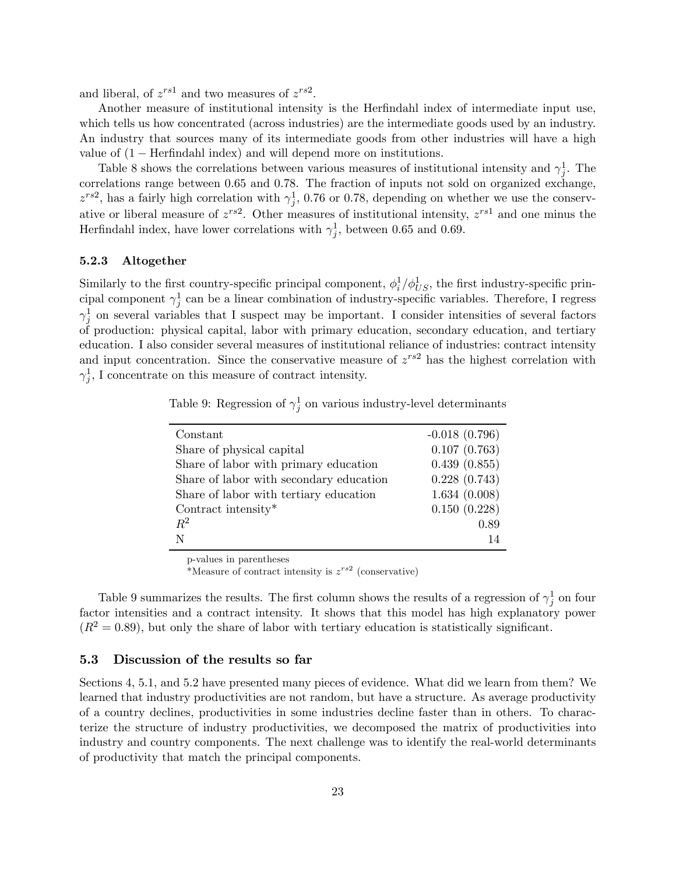and liberal, of  $z^{rs1}$  and two measures of  $z^{rs2}$ .

Another measure of institutional intensity is the Herfindahl index of intermediate input use, which tells us how concentrated (across industries) are the intermediate goods used by an industry. An industry that sources many of its intermediate goods from other industries will have a high value of  $(1 - Herfindahl index)$  and will depend more on institutions.

Table 8 shows the correlations between various measures of institutional intensity and  $\gamma_j^1$ . The correlations range between 0.65 and 0.78. The fraction of inputs not sold on organized exchange,  $z^{rs2}$ , has a fairly high correlation with  $\gamma_j^1$ , 0.76 or 0.78, depending on whether we use the conservative or liberal measure of  $z^{rs2}$ . Other measures of institutional intensity,  $z^{rs1}$  and one minus the Herfindahl index, have lower correlations with  $\gamma_j^1$ , between 0.65 and 0.69.

#### 5.2.3 Altogether

Similarly to the first country-specific principal component,  $\phi_i^1/\phi_{US}^1$ , the first industry-specific principal component  $\gamma_j^1$  can be a linear combination of industry-specific variables. Therefore, I regress  $\gamma_j^1$  on several variables that I suspect may be important. I consider intensities of several factors of production: physical capital, labor with primary education, secondary education, and tertiary education. I also consider several measures of institutional reliance of industries: contract intensity and input concentration. Since the conservative measure of  $z^{rs2}$  has the highest correlation with  $\gamma_j^1$ , I concentrate on this measure of contract intensity.

Table 9: Regression of  $\gamma_j^1$  on various industry-level determinants

| Constant                                | $-0.018(0.796)$ |
|-----------------------------------------|-----------------|
| Share of physical capital               | 0.107(0.763)    |
| Share of labor with primary education   | 0.439(0.855)    |
| Share of labor with secondary education | 0.228(0.743)    |
| Share of labor with tertiary education  | 1.634(0.008)    |
| Contract intensity $*$                  | 0.150(0.228)    |
| $R^2$                                   | 0.89            |
| N                                       | 14              |

p-values in parentheses

\*Measure of contract intensity is  $z^{rs2}$  (conservative)

Table 9 summarizes the results. The first column shows the results of a regression of  $\gamma_j^1$  on four factor intensities and a contract intensity. It shows that this model has high explanatory power  $(R^2 = 0.89)$ , but only the share of labor with tertiary education is statistically significant.

#### 5.3 Discussion of the results so far

Sections 4, 5.1, and 5.2 have presented many pieces of evidence. What did we learn from them? We learned that industry productivities are not random, but have a structure. As average productivity of a country declines, productivities in some industries decline faster than in others. To characterize the structure of industry productivities, we decomposed the matrix of productivities into industry and country components. The next challenge was to identify the real-world determinants of productivity that match the principal components.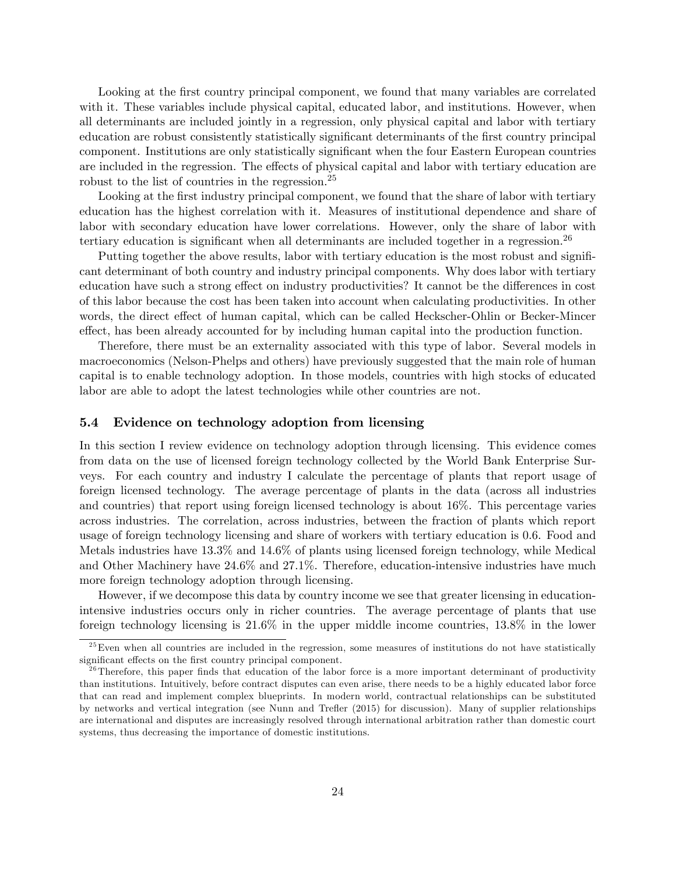Looking at the first country principal component, we found that many variables are correlated with it. These variables include physical capital, educated labor, and institutions. However, when all determinants are included jointly in a regression, only physical capital and labor with tertiary education are robust consistently statistically significant determinants of the first country principal component. Institutions are only statistically significant when the four Eastern European countries are included in the regression. The effects of physical capital and labor with tertiary education are robust to the list of countries in the regression.<sup>25</sup>

Looking at the first industry principal component, we found that the share of labor with tertiary education has the highest correlation with it. Measures of institutional dependence and share of labor with secondary education have lower correlations. However, only the share of labor with tertiary education is significant when all determinants are included together in a regression.<sup>26</sup>

Putting together the above results, labor with tertiary education is the most robust and significant determinant of both country and industry principal components. Why does labor with tertiary education have such a strong effect on industry productivities? It cannot be the differences in cost of this labor because the cost has been taken into account when calculating productivities. In other words, the direct effect of human capital, which can be called Heckscher-Ohlin or Becker-Mincer effect, has been already accounted for by including human capital into the production function.

Therefore, there must be an externality associated with this type of labor. Several models in macroeconomics (Nelson-Phelps and others) have previously suggested that the main role of human capital is to enable technology adoption. In those models, countries with high stocks of educated labor are able to adopt the latest technologies while other countries are not.

#### 5.4 Evidence on technology adoption from licensing

In this section I review evidence on technology adoption through licensing. This evidence comes from data on the use of licensed foreign technology collected by the World Bank Enterprise Surveys. For each country and industry I calculate the percentage of plants that report usage of foreign licensed technology. The average percentage of plants in the data (across all industries and countries) that report using foreign licensed technology is about 16%. This percentage varies across industries. The correlation, across industries, between the fraction of plants which report usage of foreign technology licensing and share of workers with tertiary education is 0.6. Food and Metals industries have 13.3% and 14.6% of plants using licensed foreign technology, while Medical and Other Machinery have 24.6% and 27.1%. Therefore, education-intensive industries have much more foreign technology adoption through licensing.

However, if we decompose this data by country income we see that greater licensing in educationintensive industries occurs only in richer countries. The average percentage of plants that use foreign technology licensing is 21.6% in the upper middle income countries, 13.8% in the lower

 $25$ Even when all countries are included in the regression, some measures of institutions do not have statistically significant effects on the first country principal component.

<sup>&</sup>lt;sup>26</sup>Therefore, this paper finds that education of the labor force is a more important determinant of productivity than institutions. Intuitively, before contract disputes can even arise, there needs to be a highly educated labor force that can read and implement complex blueprints. In modern world, contractual relationships can be substituted by networks and vertical integration (see Nunn and Trefler (2015) for discussion). Many of supplier relationships are international and disputes are increasingly resolved through international arbitration rather than domestic court systems, thus decreasing the importance of domestic institutions.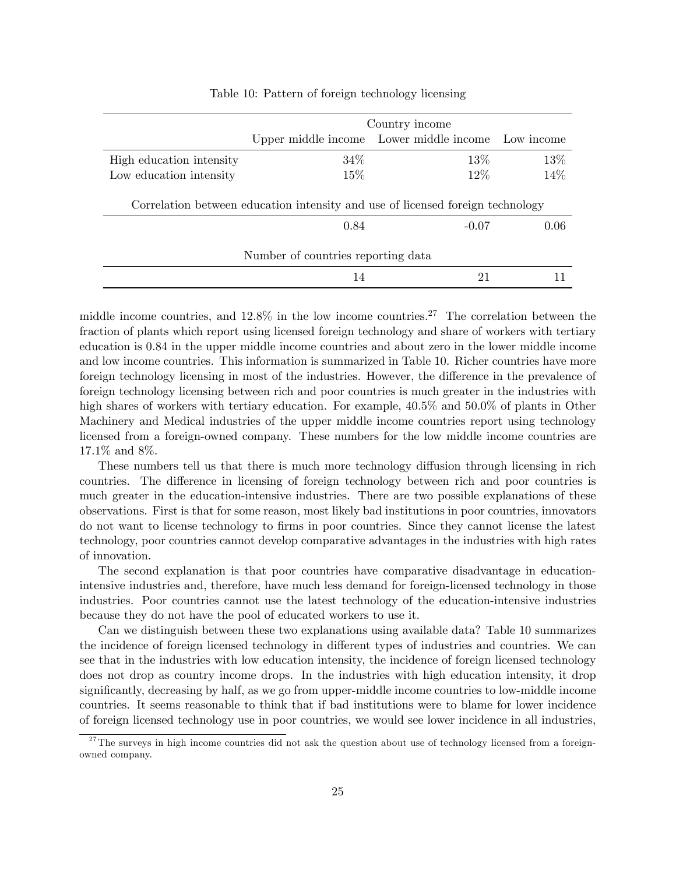|                                                                                | Country income                     |                                                    |      |  |  |
|--------------------------------------------------------------------------------|------------------------------------|----------------------------------------------------|------|--|--|
|                                                                                |                                    | Upper middle income Lower middle income Low income |      |  |  |
| High education intensity                                                       | 34\%                               | $13\%$                                             | 13\% |  |  |
| Low education intensity                                                        | 15%                                | $12\%$                                             | 14%  |  |  |
| Correlation between education intensity and use of licensed foreign technology |                                    |                                                    |      |  |  |
|                                                                                | 0.84                               | $-0.07$                                            | 0.06 |  |  |
|                                                                                | Number of countries reporting data |                                                    |      |  |  |
|                                                                                | 14                                 | 21                                                 |      |  |  |

#### Table 10: Pattern of foreign technology licensing

middle income countries, and  $12.8\%$  in the low income countries.<sup>27</sup> The correlation between the fraction of plants which report using licensed foreign technology and share of workers with tertiary education is 0.84 in the upper middle income countries and about zero in the lower middle income and low income countries. This information is summarized in Table 10. Richer countries have more foreign technology licensing in most of the industries. However, the difference in the prevalence of foreign technology licensing between rich and poor countries is much greater in the industries with high shares of workers with tertiary education. For example,  $40.5\%$  and  $50.0\%$  of plants in Other Machinery and Medical industries of the upper middle income countries report using technology licensed from a foreign-owned company. These numbers for the low middle income countries are 17.1% and 8%.

These numbers tell us that there is much more technology diffusion through licensing in rich countries. The difference in licensing of foreign technology between rich and poor countries is much greater in the education-intensive industries. There are two possible explanations of these observations. First is that for some reason, most likely bad institutions in poor countries, innovators do not want to license technology to Örms in poor countries. Since they cannot license the latest technology, poor countries cannot develop comparative advantages in the industries with high rates of innovation.

The second explanation is that poor countries have comparative disadvantage in educationintensive industries and, therefore, have much less demand for foreign-licensed technology in those industries. Poor countries cannot use the latest technology of the education-intensive industries because they do not have the pool of educated workers to use it.

Can we distinguish between these two explanations using available data? Table 10 summarizes the incidence of foreign licensed technology in different types of industries and countries. We can see that in the industries with low education intensity, the incidence of foreign licensed technology does not drop as country income drops. In the industries with high education intensity, it drop significantly, decreasing by half, as we go from upper-middle income countries to low-middle income countries. It seems reasonable to think that if bad institutions were to blame for lower incidence of foreign licensed technology use in poor countries, we would see lower incidence in all industries,

<sup>&</sup>lt;sup>27</sup>The surveys in high income countries did not ask the question about use of technology licensed from a foreignowned company.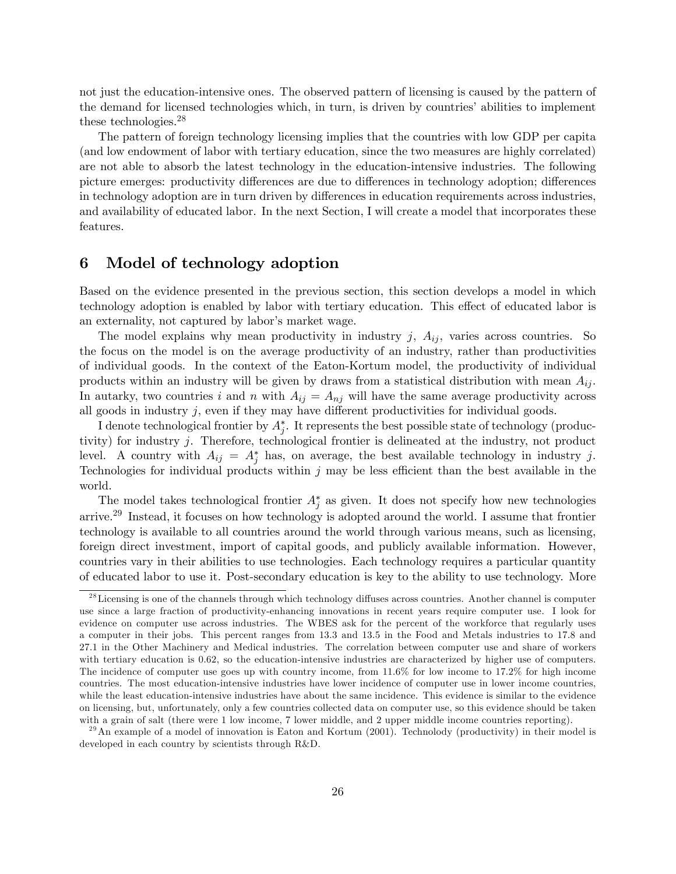not just the education-intensive ones. The observed pattern of licensing is caused by the pattern of the demand for licensed technologies which, in turn, is driven by countries' abilities to implement these technologies.<sup>28</sup>

The pattern of foreign technology licensing implies that the countries with low GDP per capita (and low endowment of labor with tertiary education, since the two measures are highly correlated) are not able to absorb the latest technology in the education-intensive industries. The following picture emerges: productivity differences are due to differences in technology adoption; differences in technology adoption are in turn driven by differences in education requirements across industries, and availability of educated labor. In the next Section, I will create a model that incorporates these features.

# 6 Model of technology adoption

Based on the evidence presented in the previous section, this section develops a model in which technology adoption is enabled by labor with tertiary education. This effect of educated labor is an externality, not captured by labor's market wage.

The model explains why mean productivity in industry  $j$ ,  $A_{ij}$ , varies across countries. So the focus on the model is on the average productivity of an industry, rather than productivities of individual goods. In the context of the Eaton-Kortum model, the productivity of individual products within an industry will be given by draws from a statistical distribution with mean  $A_{ij}$ . In autarky, two countries i and n with  $A_{ij} = A_{nj}$  will have the same average productivity across all goods in industry  $j$ , even if they may have different productivities for individual goods.

I denote technological frontier by  $A_j^*$ . It represents the best possible state of technology (productivity) for industry j. Therefore, technological frontier is delineated at the industry, not product level. A country with  $A_{ij} = A_j^*$  has, on average, the best available technology in industry j. Technologies for individual products within  $j$  may be less efficient than the best available in the world.

The model takes technological frontier  $A_j^*$  as given. It does not specify how new technologies arrive.<sup>29</sup> Instead, it focuses on how technology is adopted around the world. I assume that frontier technology is available to all countries around the world through various means, such as licensing, foreign direct investment, import of capital goods, and publicly available information. However, countries vary in their abilities to use technologies. Each technology requires a particular quantity of educated labor to use it. Post-secondary education is key to the ability to use technology. More

 $^{28}$ Licensing is one of the channels through which technology diffuses across countries. Another channel is computer use since a large fraction of productivity-enhancing innovations in recent years require computer use. I look for evidence on computer use across industries. The WBES ask for the percent of the workforce that regularly uses a computer in their jobs. This percent ranges from 13.3 and 13.5 in the Food and Metals industries to 17.8 and 27.1 in the Other Machinery and Medical industries. The correlation between computer use and share of workers with tertiary education is 0.62, so the education-intensive industries are characterized by higher use of computers. The incidence of computer use goes up with country income, from 11.6% for low income to 17.2% for high income countries. The most education-intensive industries have lower incidence of computer use in lower income countries, while the least education-intensive industries have about the same incidence. This evidence is similar to the evidence on licensing, but, unfortunately, only a few countries collected data on computer use, so this evidence should be taken with a grain of salt (there were 1 low income, 7 lower middle, and 2 upper middle income countries reporting).

 $^{29}$ An example of a model of innovation is Eaton and Kortum (2001). Technolody (productivity) in their model is developed in each country by scientists through R&D.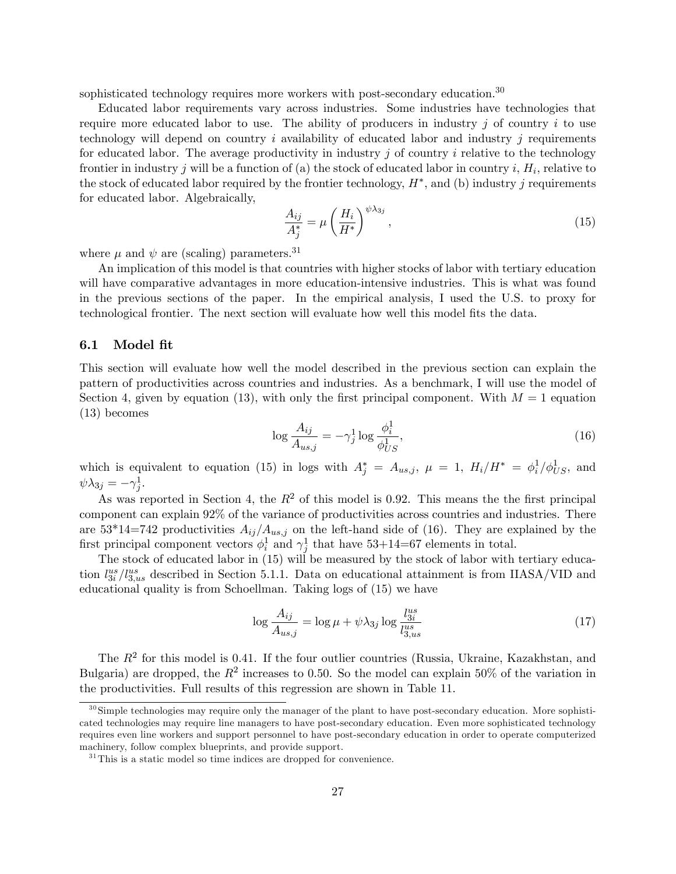sophisticated technology requires more workers with post-secondary education.<sup>30</sup>

Educated labor requirements vary across industries. Some industries have technologies that require more educated labor to use. The ability of producers in industry  $j$  of country  $i$  to use technology will depend on country  $i$  availability of educated labor and industry  $j$  requirements for educated labor. The average productivity in industry  $j$  of country  $i$  relative to the technology frontier in industry  $j$  will be a function of (a) the stock of educated labor in country  $i$ ,  $H_i$ , relative to the stock of educated labor required by the frontier technology,  $H^*$ , and (b) industry j requirements for educated labor. Algebraically,

$$
\frac{A_{ij}}{A_j^*} = \mu \left(\frac{H_i}{H^*}\right)^{\psi \lambda_{3j}},\tag{15}
$$

where  $\mu$  and  $\psi$  are (scaling) parameters.<sup>31</sup>

An implication of this model is that countries with higher stocks of labor with tertiary education will have comparative advantages in more education-intensive industries. This is what was found in the previous sections of the paper. In the empirical analysis, I used the U.S. to proxy for technological frontier. The next section will evaluate how well this model fits the data.

#### 6.1 Model Öt

This section will evaluate how well the model described in the previous section can explain the pattern of productivities across countries and industries. As a benchmark, I will use the model of Section 4, given by equation (13), with only the first principal component. With  $M = 1$  equation (13) becomes

$$
\log \frac{A_{ij}}{A_{us,j}} = -\gamma_j^1 \log \frac{\phi_i^1}{\phi_{US}^1},\tag{16}
$$

which is equivalent to equation (15) in logs with  $A_j^* = A_{us,j}$ ,  $\mu = 1$ ,  $H_i/H^* = \phi_i^1/\phi_{US}^1$ , and  $\psi \lambda_{3j} = -\gamma_j^1.$ 

As was reported in Section 4, the  $R^2$  of this model is 0.92. This means the the first principal component can explain 92% of the variance of productivities across countries and industries. There are 53\*14=742 productivities  $A_{ij}/A_{us,j}$  on the left-hand side of (16). They are explained by the first principal component vectors  $\phi_i^1$  and  $\gamma_j^1$  that have 53+14=67 elements in total.

The stock of educated labor in (15) will be measured by the stock of labor with tertiary education  $l_{3i}^{us}/l_{3,us}^{us}$  described in Section 5.1.1. Data on educational attainment is from IIASA/VID and educational quality is from Schoellman. Taking logs of (15) we have

$$
\log \frac{A_{ij}}{A_{us,j}} = \log \mu + \psi \lambda_{3j} \log \frac{l_{3i}^{us}}{l_{3,us}^{us}}
$$
\n
$$
\tag{17}
$$

The  $R^2$  for this model is 0.41. If the four outlier countries (Russia, Ukraine, Kazakhstan, and Bulgaria) are dropped, the  $R^2$  increases to 0.50. So the model can explain 50% of the variation in the productivities. Full results of this regression are shown in Table 11.

<sup>&</sup>lt;sup>30</sup>Simple technologies may require only the manager of the plant to have post-secondary education. More sophisticated technologies may require line managers to have post-secondary education. Even more sophisticated technology requires even line workers and support personnel to have post-secondary education in order to operate computerized machinery, follow complex blueprints, and provide support.

 $31$ This is a static model so time indices are dropped for convenience.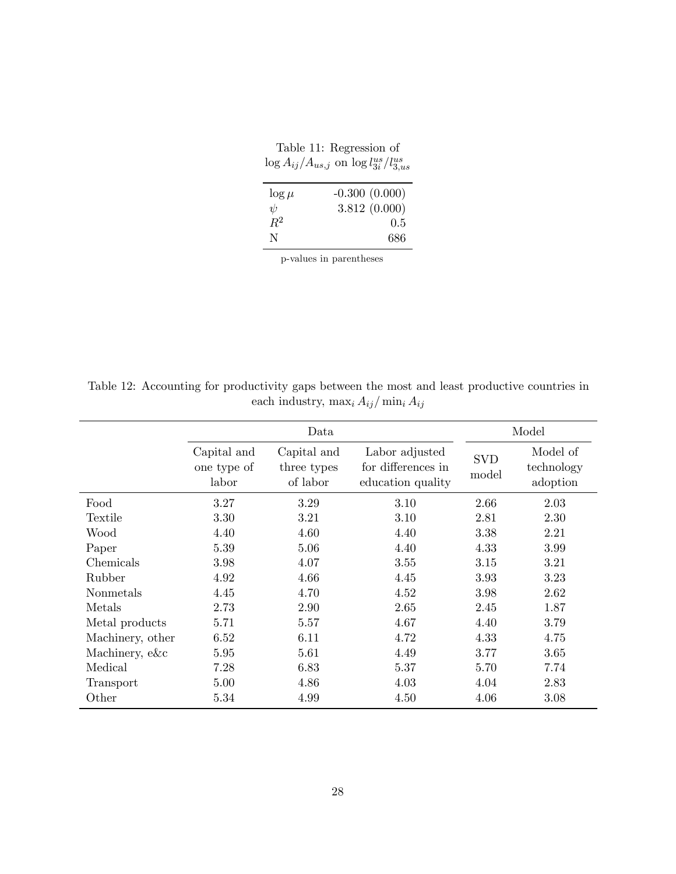|            | Table 11: Regression of<br>$\log A_{ij}/A_{us,j}$ on $\log l_{3i}^{us}/l_{3.us}^{us}$ |
|------------|---------------------------------------------------------------------------------------|
| $\log \mu$ | $-0.300(0.000)$                                                                       |
| $\psi$     | 3.812(0.000)                                                                          |
| $R^2$      | 0.5                                                                                   |
| N          | 686                                                                                   |

p-values in parentheses

Table 12: Accounting for productivity gaps between the most and least productive countries in each industry,  $\max_i A_{ij}/\min_i A_{ij}$ 

|                  | Data                                |                                        |                                                           |                     | Model                              |
|------------------|-------------------------------------|----------------------------------------|-----------------------------------------------------------|---------------------|------------------------------------|
|                  | Capital and<br>one type of<br>labor | Capital and<br>three types<br>of labor | Labor adjusted<br>for differences in<br>education quality | <b>SVD</b><br>model | Model of<br>technology<br>adoption |
| Food             | 3.27                                | 3.29                                   | 3.10                                                      | 2.66                | 2.03                               |
| Textile          | 3.30                                | 3.21                                   | 3.10                                                      | 2.81                | 2.30                               |
| Wood             | 4.40                                | 4.60                                   | 4.40                                                      | 3.38                | 2.21                               |
| Paper            | 5.39                                | 5.06                                   | 4.40                                                      | 4.33                | 3.99                               |
| Chemicals        | 3.98                                | 4.07                                   | 3.55                                                      | 3.15                | 3.21                               |
| Rubber           | 4.92                                | 4.66                                   | 4.45                                                      | 3.93                | 3.23                               |
| Nonmetals        | 4.45                                | 4.70                                   | 4.52                                                      | 3.98                | 2.62                               |
| Metals           | 2.73                                | 2.90                                   | 2.65                                                      | 2.45                | 1.87                               |
| Metal products   | 5.71                                | 5.57                                   | 4.67                                                      | 4.40                | 3.79                               |
| Machinery, other | 6.52                                | 6.11                                   | 4.72                                                      | 4.33                | 4.75                               |
| Machinery, e&c   | 5.95                                | 5.61                                   | 4.49                                                      | 3.77                | 3.65                               |
| Medical          | 7.28                                | 6.83                                   | 5.37                                                      | 5.70                | 7.74                               |
| Transport        | 5.00                                | 4.86                                   | 4.03                                                      | 4.04                | 2.83                               |
| Other            | 5.34                                | 4.99                                   | 4.50                                                      | 4.06                | 3.08                               |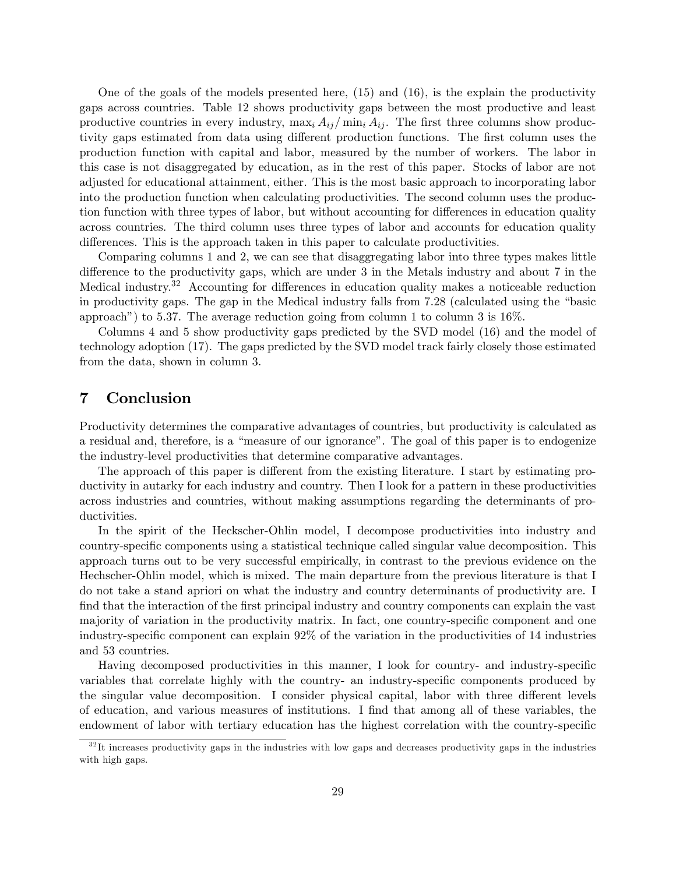One of the goals of the models presented here, (15) and (16), is the explain the productivity gaps across countries. Table 12 shows productivity gaps between the most productive and least productive countries in every industry,  $\max_i A_{ij}/ \min_i A_{ij}$ . The first three columns show productivity gaps estimated from data using different production functions. The first column uses the production function with capital and labor, measured by the number of workers. The labor in this case is not disaggregated by education, as in the rest of this paper. Stocks of labor are not adjusted for educational attainment, either. This is the most basic approach to incorporating labor into the production function when calculating productivities. The second column uses the production function with three types of labor, but without accounting for differences in education quality across countries. The third column uses three types of labor and accounts for education quality differences. This is the approach taken in this paper to calculate productivities.

Comparing columns 1 and 2, we can see that disaggregating labor into three types makes little difference to the productivity gaps, which are under 3 in the Metals industry and about 7 in the Medical industry.<sup>32</sup> Accounting for differences in education quality makes a noticeable reduction in productivity gaps. The gap in the Medical industry falls from  $7.28$  (calculated using the "basic approach") to 5.37. The average reduction going from column 1 to column 3 is  $16\%$ .

Columns 4 and 5 show productivity gaps predicted by the SVD model (16) and the model of technology adoption (17). The gaps predicted by the SVD model track fairly closely those estimated from the data, shown in column 3.

## 7 Conclusion

Productivity determines the comparative advantages of countries, but productivity is calculated as a residual and, therefore, is a "measure of our ignorance". The goal of this paper is to endogenize the industry-level productivities that determine comparative advantages.

The approach of this paper is different from the existing literature. I start by estimating productivity in autarky for each industry and country. Then I look for a pattern in these productivities across industries and countries, without making assumptions regarding the determinants of productivities.

In the spirit of the Heckscher-Ohlin model, I decompose productivities into industry and country-specific components using a statistical technique called singular value decomposition. This approach turns out to be very successful empirically, in contrast to the previous evidence on the Hechscher-Ohlin model, which is mixed. The main departure from the previous literature is that I do not take a stand apriori on what the industry and country determinants of productivity are. I find that the interaction of the first principal industry and country components can explain the vast majority of variation in the productivity matrix. In fact, one country-specific component and one industry-specific component can explain 92% of the variation in the productivities of 14 industries and 53 countries.

Having decomposed productivities in this manner, I look for country- and industry-specific variables that correlate highly with the country- an industry-specific components produced by the singular value decomposition. I consider physical capital, labor with three different levels of education, and various measures of institutions. I Önd that among all of these variables, the endowment of labor with tertiary education has the highest correlation with the country-specific

 $32$ It increases productivity gaps in the industries with low gaps and decreases productivity gaps in the industries with high gaps.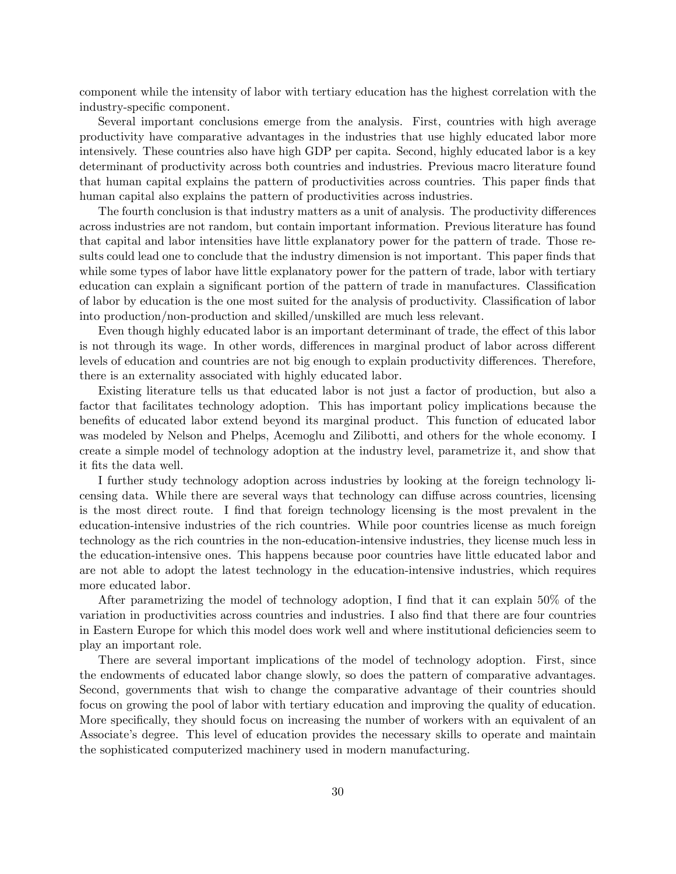component while the intensity of labor with tertiary education has the highest correlation with the industry-specific component.

Several important conclusions emerge from the analysis. First, countries with high average productivity have comparative advantages in the industries that use highly educated labor more intensively. These countries also have high GDP per capita. Second, highly educated labor is a key determinant of productivity across both countries and industries. Previous macro literature found that human capital explains the pattern of productivities across countries. This paper finds that human capital also explains the pattern of productivities across industries.

The fourth conclusion is that industry matters as a unit of analysis. The productivity differences across industries are not random, but contain important information. Previous literature has found that capital and labor intensities have little explanatory power for the pattern of trade. Those results could lead one to conclude that the industry dimension is not important. This paper finds that while some types of labor have little explanatory power for the pattern of trade, labor with tertiary education can explain a significant portion of the pattern of trade in manufactures. Classification of labor by education is the one most suited for the analysis of productivity. Classification of labor into production/non-production and skilled/unskilled are much less relevant.

Even though highly educated labor is an important determinant of trade, the effect of this labor is not through its wage. In other words, differences in marginal product of labor across different levels of education and countries are not big enough to explain productivity differences. Therefore, there is an externality associated with highly educated labor.

Existing literature tells us that educated labor is not just a factor of production, but also a factor that facilitates technology adoption. This has important policy implications because the benefits of educated labor extend beyond its marginal product. This function of educated labor was modeled by Nelson and Phelps, Acemoglu and Zilibotti, and others for the whole economy. I create a simple model of technology adoption at the industry level, parametrize it, and show that it fits the data well.

I further study technology adoption across industries by looking at the foreign technology licensing data. While there are several ways that technology can diffuse across countries, licensing is the most direct route. I find that foreign technology licensing is the most prevalent in the education-intensive industries of the rich countries. While poor countries license as much foreign technology as the rich countries in the non-education-intensive industries, they license much less in the education-intensive ones. This happens because poor countries have little educated labor and are not able to adopt the latest technology in the education-intensive industries, which requires more educated labor.

After parametrizing the model of technology adoption, I find that it can explain  $50\%$  of the variation in productivities across countries and industries. I also find that there are four countries in Eastern Europe for which this model does work well and where institutional deficiencies seem to play an important role.

There are several important implications of the model of technology adoption. First, since the endowments of educated labor change slowly, so does the pattern of comparative advantages. Second, governments that wish to change the comparative advantage of their countries should focus on growing the pool of labor with tertiary education and improving the quality of education. More specifically, they should focus on increasing the number of workers with an equivalent of an Associateís degree. This level of education provides the necessary skills to operate and maintain the sophisticated computerized machinery used in modern manufacturing.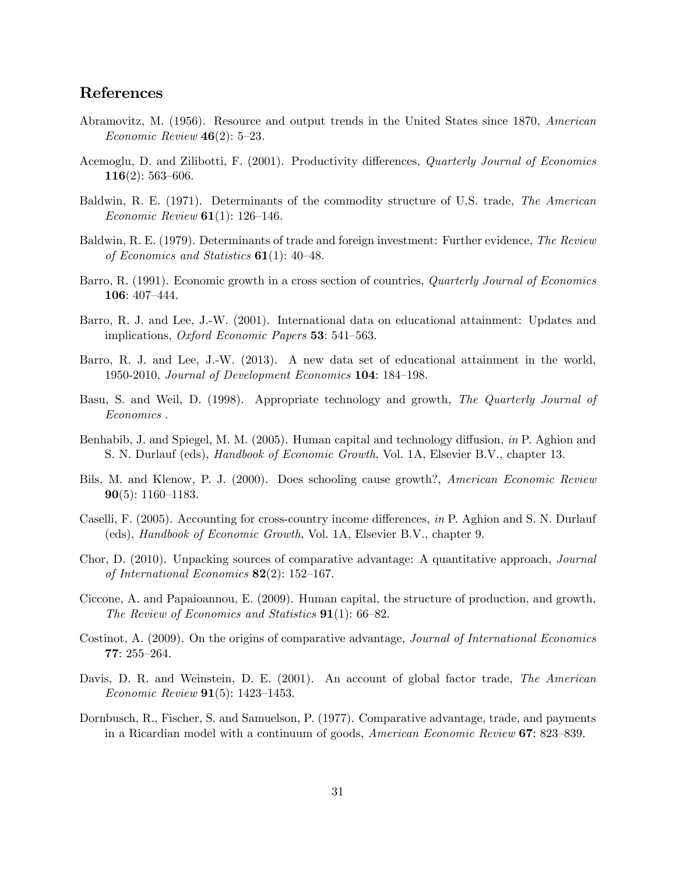# References

- Abramovitz, M. (1956). Resource and output trends in the United States since 1870, American Economic Review  $46(2)$ : 5–23.
- Acemoglu, D. and Zilibotti, F. (2001). Productivity differences, *Quarterly Journal of Economics* 116 $(2)$ : 563-606.
- Baldwin, R. E. (1971). Determinants of the commodity structure of U.S. trade, The American *Economic Review* **61**(1): 126–146.
- Baldwin, R. E. (1979). Determinants of trade and foreign investment: Further evidence, The Review of Economics and Statistics  $61(1)$ : 40–48.
- Barro, R. (1991). Economic growth in a cross section of countries, *Quarterly Journal of Economics* 106: 407–444.
- Barro, R. J. and Lee, J.-W. (2001). International data on educational attainment: Updates and implications, *Oxford Economic Papers* 53: 541–563.
- Barro, R. J. and Lee, J.-W. (2013). A new data set of educational attainment in the world, 1950-2010, Journal of Development Economics  $104: 184-198$ .
- Basu, S. and Weil, D. (1998). Appropriate technology and growth, The Quarterly Journal of Economics .
- Benhabib, J. and Spiegel, M. M.  $(2005)$ . Human capital and technology diffusion, in P. Aghion and S. N. Durlauf (eds), Handbook of Economic Growth, Vol. 1A, Elsevier B.V., chapter 13.
- Bils, M. and Klenow, P. J. (2000). Does schooling cause growth?, American Economic Review **90**(5): 1160–1183.
- Caselli, F. (2005). Accounting for cross-country income differences, in P. Aghion and S. N. Durlauf (eds), Handbook of Economic Growth, Vol. 1A, Elsevier B.V., chapter 9.
- Chor, D. (2010). Unpacking sources of comparative advantage: A quantitative approach, Journal of International Economics  $82(2)$ : 152-167.
- Ciccone, A. and Papaioannou, E. (2009). Human capital, the structure of production, and growth, The Review of Economics and Statistics  $91(1)$ : 66–82.
- Costinot, A. (2009). On the origins of comparative advantage, Journal of International Economics  $77: 255 - 264.$
- Davis, D. R. and Weinstein, D. E. (2001). An account of global factor trade, The American *Economic Review* **91**(5): 1423–1453.
- Dornbusch, R., Fischer, S. and Samuelson, P. (1977). Comparative advantage, trade, and payments in a Ricardian model with a continuum of goods, *American Economic Review* 67: 823–839.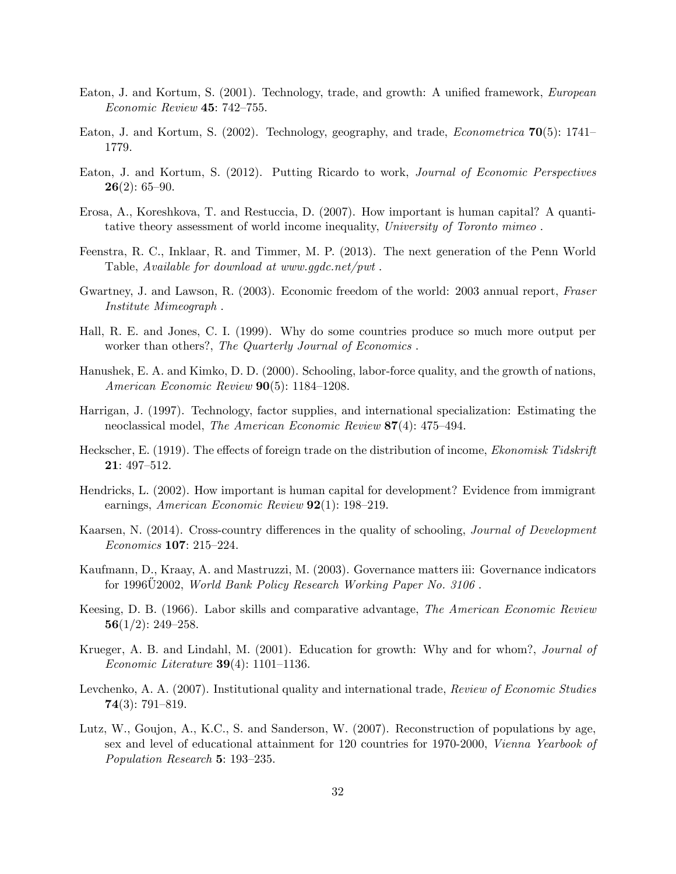- Eaton, J. and Kortum, S. (2001). Technology, trade, and growth: A unified framework, *European*  $Economic$  Review 45: 742-755.
- Eaton, J. and Kortum, S. (2002). Technology, geography, and trade, *Econometrica*  $70(5)$ : 1741– 1779.
- Eaton, J. and Kortum, S. (2012). Putting Ricardo to work, Journal of Economic Perspectives **26** $(2)$ : 65–90.
- Erosa, A., Koreshkova, T. and Restuccia, D. (2007). How important is human capital? A quantitative theory assessment of world income inequality, University of Toronto mimeo .
- Feenstra, R. C., Inklaar, R. and Timmer, M. P. (2013). The next generation of the Penn World Table, Available for download at www.ggdc.net/pwt .
- Gwartney, J. and Lawson, R. (2003). Economic freedom of the world: 2003 annual report, Fraser Institute Mimeograph .
- Hall, R. E. and Jones, C. I. (1999). Why do some countries produce so much more output per worker than others?, The Quarterly Journal of Economics.
- Hanushek, E. A. and Kimko, D. D. (2000). Schooling, labor-force quality, and the growth of nations, American Economic Review  $90(5)$ : 1184–1208.
- Harrigan, J. (1997). Technology, factor supplies, and international specialization: Estimating the neoclassical model, The American Economic Review  $87(4)$ : 475–494.
- Heckscher, E. (1919). The effects of foreign trade on the distribution of income, *Ekonomisk Tidskrift* 21: 497-512.
- Hendricks, L. (2002). How important is human capital for development? Evidence from immigrant earnings, American Economic Review  $92(1)$ : 198–219.
- Kaarsen, N. (2014). Cross-country differences in the quality of schooling, *Journal of Development*  $Economics$  **107**: 215-224.
- Kaufmann, D., Kraay, A. and Mastruzzi, M. (2003). Governance matters iii: Governance indicators for 1996 $\ddot{\text{U}}$ 2002, World Bank Policy Research Working Paper No. 3106.
- Keesing, D. B. (1966). Labor skills and comparative advantage, The American Economic Review 56 $(1/2)$ : 249-258.
- Krueger, A. B. and Lindahl, M. (2001). Education for growth: Why and for whom?, Journal of Economic Literature  $39(4)$ : 1101–1136.
- Levchenko, A. A. (2007). Institutional quality and international trade, Review of Economic Studies  $74(3): 791 - 819.$
- Lutz, W., Goujon, A., K.C., S. and Sanderson, W. (2007). Reconstruction of populations by age, sex and level of educational attainment for 120 countries for 1970-2000, Vienna Yearbook of Population Research  $5: 193-235$ .